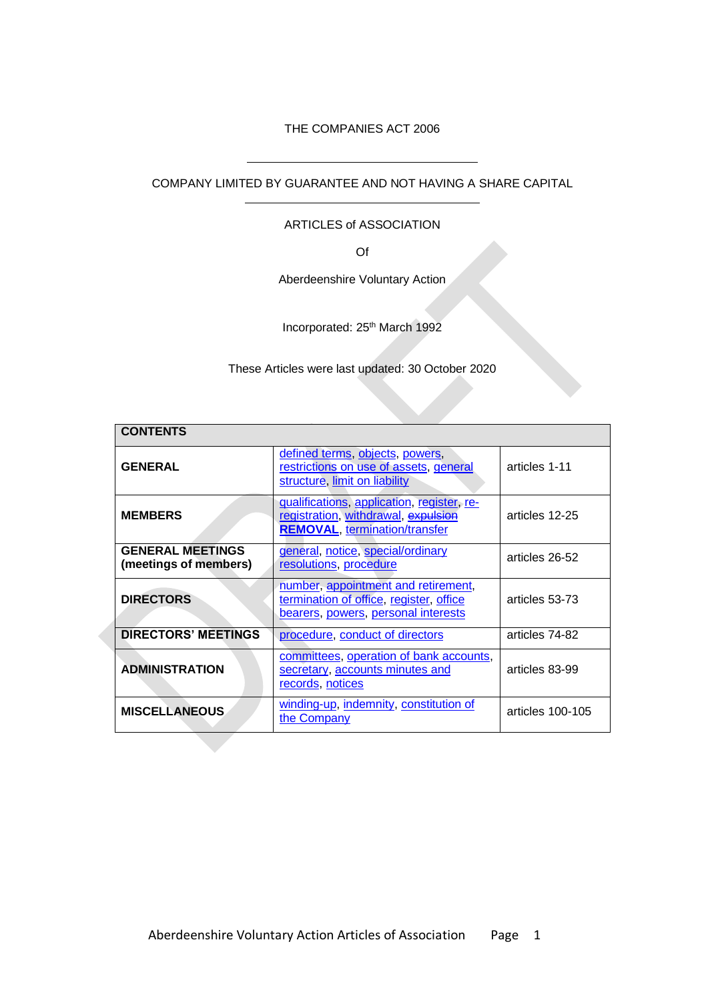### THE COMPANIES ACT 2006

COMPANY LIMITED BY GUARANTEE AND NOT HAVING A SHARE CAPITAL

 $\overline{a}$ 

 $\overline{a}$ 

#### ARTICLES of ASSOCIATION

Of

Aberdeenshire Voluntary Action

Incorporated: 25<sup>th</sup> March 1992

These Articles were last updated: 30 October 2020

| <b>CONTENTS</b>                                  |                                                                                                                           |                  |
|--------------------------------------------------|---------------------------------------------------------------------------------------------------------------------------|------------------|
| <b>GENERAL</b>                                   | defined terms, objects, powers,<br>restrictions on use of assets, general<br>structure, limit on liability                | articles 1-11    |
| <b>MEMBERS</b>                                   | qualifications, application, register, re-<br>registration, withdrawal, expulsion<br><b>REMOVAL, termination/transfer</b> | articles 12-25   |
| <b>GENERAL MEETINGS</b><br>(meetings of members) | general, notice, special/ordinary<br>resolutions, procedure                                                               | articles 26-52   |
| <b>DIRECTORS</b>                                 | number, appointment and retirement,<br>termination of office, register, office<br>bearers, powers, personal interests     | articles 53-73   |
| <b>DIRECTORS' MEETINGS</b>                       | procedure, conduct of directors                                                                                           | articles 74-82   |
| <b>ADMINISTRATION</b>                            | committees, operation of bank accounts,<br>secretary, accounts minutes and<br>records, notices                            | articles 83-99   |
| <b>MISCELLANEOUS</b>                             | winding-up, indemnity, constitution of<br>the Company                                                                     | articles 100-105 |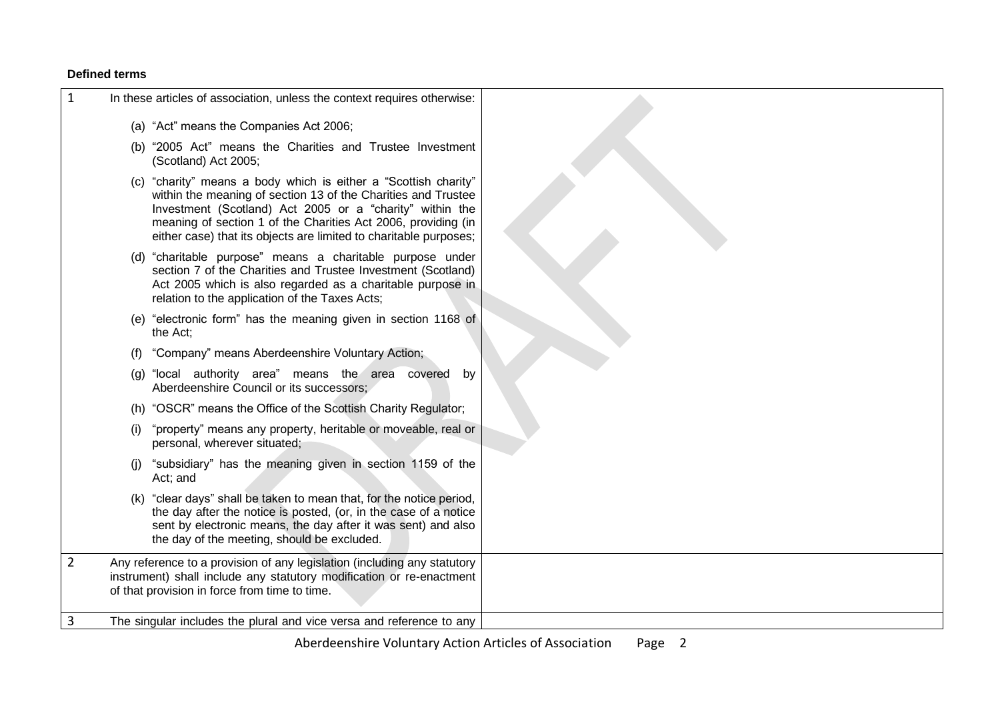### **Defined terms**

<span id="page-1-0"></span>

| 1              | In these articles of association, unless the context requires otherwise:                                                                                                                                                                                                                                                           |
|----------------|------------------------------------------------------------------------------------------------------------------------------------------------------------------------------------------------------------------------------------------------------------------------------------------------------------------------------------|
|                | (a) "Act" means the Companies Act 2006;                                                                                                                                                                                                                                                                                            |
|                | (b) "2005 Act" means the Charities and Trustee Investment<br>(Scotland) Act 2005;                                                                                                                                                                                                                                                  |
|                | (c) "charity" means a body which is either a "Scottish charity"<br>within the meaning of section 13 of the Charities and Trustee<br>Investment (Scotland) Act 2005 or a "charity" within the<br>meaning of section 1 of the Charities Act 2006, providing (in<br>either case) that its objects are limited to charitable purposes; |
|                | (d) "charitable purpose" means a charitable purpose under<br>section 7 of the Charities and Trustee Investment (Scotland)<br>Act 2005 which is also regarded as a charitable purpose in<br>relation to the application of the Taxes Acts;                                                                                          |
|                | (e) "electronic form" has the meaning given in section 1168 of<br>the Act;                                                                                                                                                                                                                                                         |
|                | "Company" means Aberdeenshire Voluntary Action;<br>(1)                                                                                                                                                                                                                                                                             |
|                | "local authority area" means the area covered<br>by<br>(g)<br>Aberdeenshire Council or its successors;                                                                                                                                                                                                                             |
|                | "OSCR" means the Office of the Scottish Charity Regulator;<br>(h)                                                                                                                                                                                                                                                                  |
|                | "property" means any property, heritable or moveable, real or<br>(i)<br>personal, wherever situated;                                                                                                                                                                                                                               |
|                | "subsidiary" has the meaning given in section 1159 of the<br>(i)<br>Act; and                                                                                                                                                                                                                                                       |
|                | (k) "clear days" shall be taken to mean that, for the notice period,<br>the day after the notice is posted, (or, in the case of a notice<br>sent by electronic means, the day after it was sent) and also<br>the day of the meeting, should be excluded.                                                                           |
| $\overline{2}$ | Any reference to a provision of any legislation (including any statutory<br>instrument) shall include any statutory modification or re-enactment<br>of that provision in force from time to time.                                                                                                                                  |
| 3              | The singular includes the plural and vice versa and reference to any                                                                                                                                                                                                                                                               |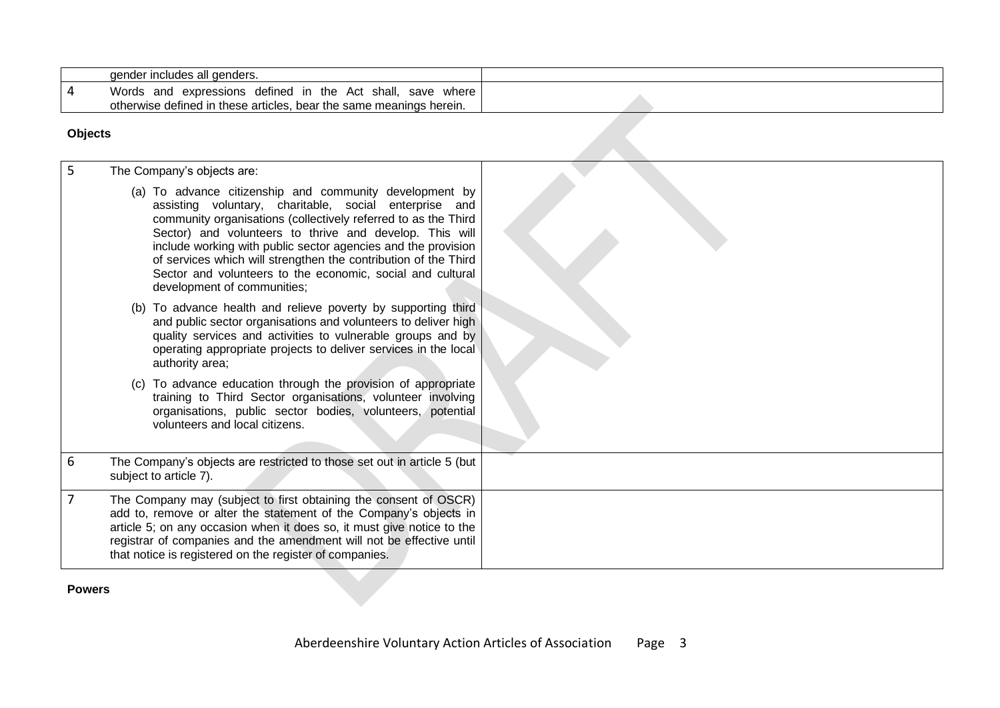|                | gender includes all genders.                                                                                                      |  |
|----------------|-----------------------------------------------------------------------------------------------------------------------------------|--|
| <b>4</b>       | Words and expressions defined in the Act shall, save where<br>otherwise defined in these articles, bear the same meanings herein. |  |
| <b>Objects</b> |                                                                                                                                   |  |

# **Objects**

| 5 | The Company's objects are:                                                                                                                                                                                                                                                                                                                                                                                                                                                      |  |
|---|---------------------------------------------------------------------------------------------------------------------------------------------------------------------------------------------------------------------------------------------------------------------------------------------------------------------------------------------------------------------------------------------------------------------------------------------------------------------------------|--|
|   | (a) To advance citizenship and community development by<br>assisting voluntary, charitable, social enterprise and<br>community organisations (collectively referred to as the Third<br>Sector) and volunteers to thrive and develop. This will<br>include working with public sector agencies and the provision<br>of services which will strengthen the contribution of the Third<br>Sector and volunteers to the economic, social and cultural<br>development of communities; |  |
|   | (b) To advance health and relieve poverty by supporting third<br>and public sector organisations and volunteers to deliver high<br>quality services and activities to vulnerable groups and by<br>operating appropriate projects to deliver services in the local<br>authority area;                                                                                                                                                                                            |  |
|   | To advance education through the provision of appropriate<br>(C)<br>training to Third Sector organisations, volunteer involving<br>organisations, public sector bodies, volunteers, potential<br>volunteers and local citizens.                                                                                                                                                                                                                                                 |  |
| 6 | The Company's objects are restricted to those set out in article 5 (but<br>subject to article 7).                                                                                                                                                                                                                                                                                                                                                                               |  |
|   | The Company may (subject to first obtaining the consent of OSCR)<br>add to, remove or alter the statement of the Company's objects in<br>article 5; on any occasion when it does so, it must give notice to the<br>registrar of companies and the amendment will not be effective until<br>that notice is registered on the register of companies.                                                                                                                              |  |

### <span id="page-2-1"></span><span id="page-2-0"></span>**Powers**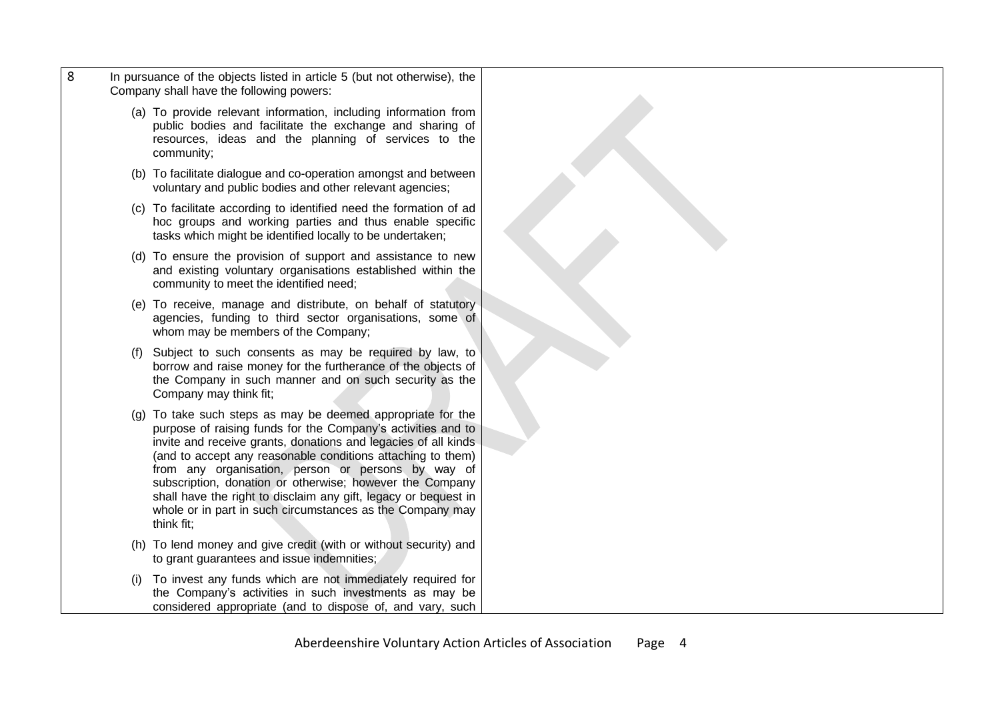- 8 In pursuance of the objects listed in article 5 (but not otherwise), the Company shall have the following powers:
	- (a) To provide relevant information, including information from public bodies and facilitate the exchange and sharing of resources, ideas and the planning of services to the community;
	- (b) To facilitate dialogue and co-operation amongst and between voluntary and public bodies and other relevant agencies;
	- (c) To facilitate according to identified need the formation of ad hoc groups and working parties and thus enable specific tasks which might be identified locally to be undertaken;
	- (d) To ensure the provision of support and assistance to new and existing voluntary organisations established within the community to meet the identified need;
	- (e) To receive, manage and distribute, on behalf of statutory agencies, funding to third sector organisations, some of whom may be members of the Company;
	- (f) Subject to such consents as may be required by law, to borrow and raise money for the furtherance of the objects of the Company in such manner and on such security as the Company may think fit;
	- (g) To take such steps as may be deemed appropriate for the purpose of raising funds for the Company's activities and to invite and receive grants, donations and legacies of all kinds (and to accept any reasonable conditions attaching to them) from any organisation, person or persons by way of subscription, donation or otherwise; however the Company shall have the right to disclaim any gift, legacy or bequest in whole or in part in such circumstances as the Company may think fit;
	- (h) To lend money and give credit (with or without security) and to grant guarantees and issue indemnities;
	- (i) To invest any funds which are not immediately required for the Company's activities in such investments as may be considered appropriate (and to dispose of, and vary, such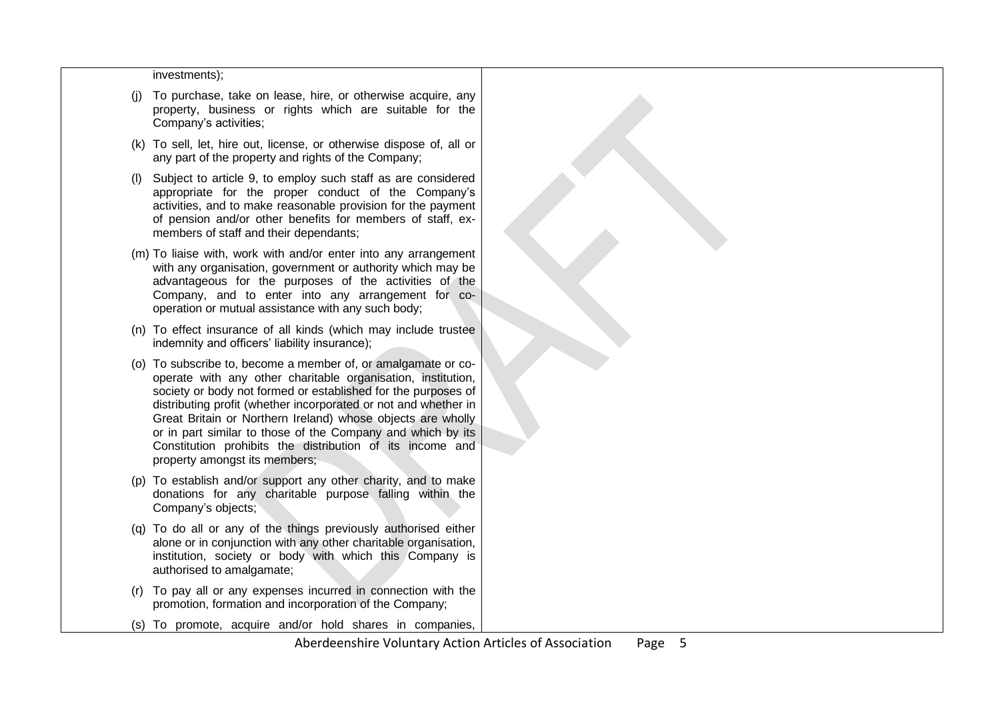#### investments);

- (j) To purchase, take on lease, hire, or otherwise acquire, any property, business or rights which are suitable for the Company's activities;
- (k) To sell, let, hire out, license, or otherwise dispose of, all or any part of the property and rights of the Company;
- (l) Subject to article 9, to employ such staff as are considered appropriate for the proper conduct of the Company's activities, and to make reasonable provision for the payment of pension and/or other benefits for members of staff, exmembers of staff and their dependants;
- (m) To liaise with, work with and/or enter into any arrangement with any organisation, government or authority which may be advantageous for the purposes of the activities of the Company, and to enter into any arrangement for cooperation or mutual assistance with any such body;
- (n) To effect insurance of all kinds (which may include trustee indemnity and officers' liability insurance);
- (o) To subscribe to, become a member of, or amalgamate or cooperate with any other charitable organisation, institution, society or body not formed or established for the purposes of distributing profit (whether incorporated or not and whether in Great Britain or Northern Ireland) whose objects are wholly or in part similar to those of the Company and which by its Constitution prohibits the distribution of its income and property amongst its members;
- (p) To establish and/or support any other charity, and to make donations for any charitable purpose falling within the Company's objects;
- (q) To do all or any of the things previously authorised either alone or in conjunction with any other charitable organisation, institution, society or body with which this Company is authorised to amalgamate;
- (r) To pay all or any expenses incurred in connection with the promotion, formation and incorporation of the Company;
- (s) To promote, acquire and/or hold shares in companies,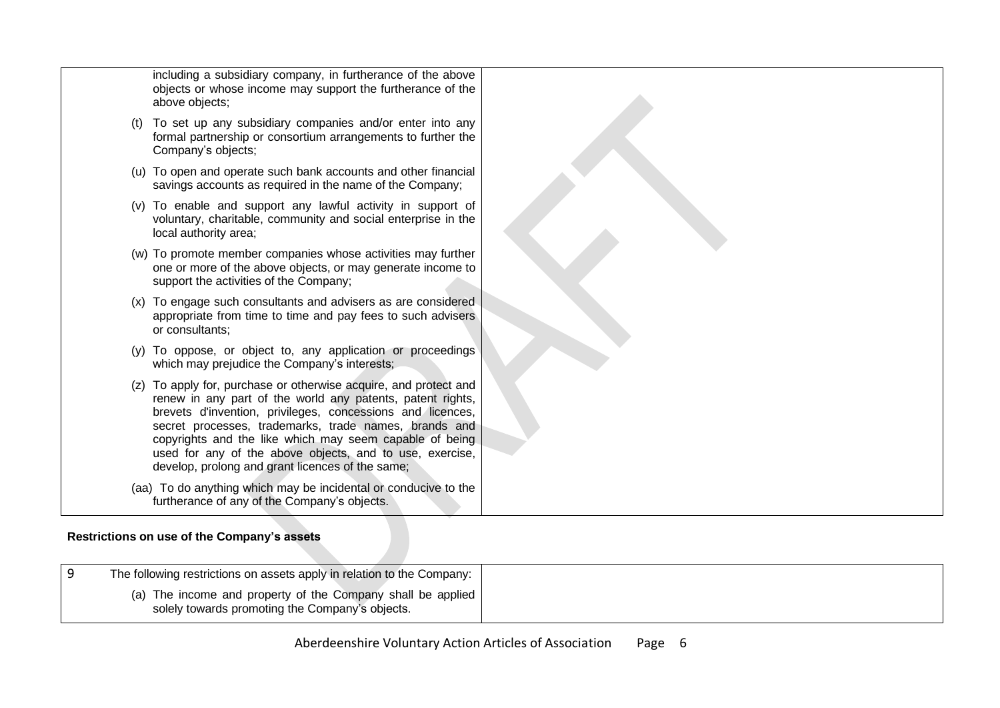|  | including a subsidiary company, in furtherance of the above<br>objects or whose income may support the furtherance of the<br>above objects;                                                                                                                                                                                                                                                                                      |  |
|--|----------------------------------------------------------------------------------------------------------------------------------------------------------------------------------------------------------------------------------------------------------------------------------------------------------------------------------------------------------------------------------------------------------------------------------|--|
|  | To set up any subsidiary companies and/or enter into any<br>formal partnership or consortium arrangements to further the<br>Company's objects;                                                                                                                                                                                                                                                                                   |  |
|  | (u) To open and operate such bank accounts and other financial<br>savings accounts as required in the name of the Company;                                                                                                                                                                                                                                                                                                       |  |
|  | (v) To enable and support any lawful activity in support of<br>voluntary, charitable, community and social enterprise in the<br>local authority area;                                                                                                                                                                                                                                                                            |  |
|  | (w) To promote member companies whose activities may further<br>one or more of the above objects, or may generate income to<br>support the activities of the Company;                                                                                                                                                                                                                                                            |  |
|  | (x) To engage such consultants and advisers as are considered<br>appropriate from time to time and pay fees to such advisers<br>or consultants;                                                                                                                                                                                                                                                                                  |  |
|  | (y) To oppose, or object to, any application or proceedings<br>which may prejudice the Company's interests;                                                                                                                                                                                                                                                                                                                      |  |
|  | (z) To apply for, purchase or otherwise acquire, and protect and<br>renew in any part of the world any patents, patent rights,<br>brevets d'invention, privileges, concessions and licences,<br>secret processes, trademarks, trade names, brands and<br>copyrights and the like which may seem capable of being<br>used for any of the above objects, and to use, exercise,<br>develop, prolong and grant licences of the same; |  |
|  | (aa) To do anything which may be incidental or conducive to the<br>furtherance of any of the Company's objects.                                                                                                                                                                                                                                                                                                                  |  |

## **Restrictions on use of the Company's assets**

<span id="page-5-0"></span>

| The following restrictions on assets apply in relation to the Company:                                         |
|----------------------------------------------------------------------------------------------------------------|
| (a) The income and property of the Company shall be applied<br>solely towards promoting the Company's objects. |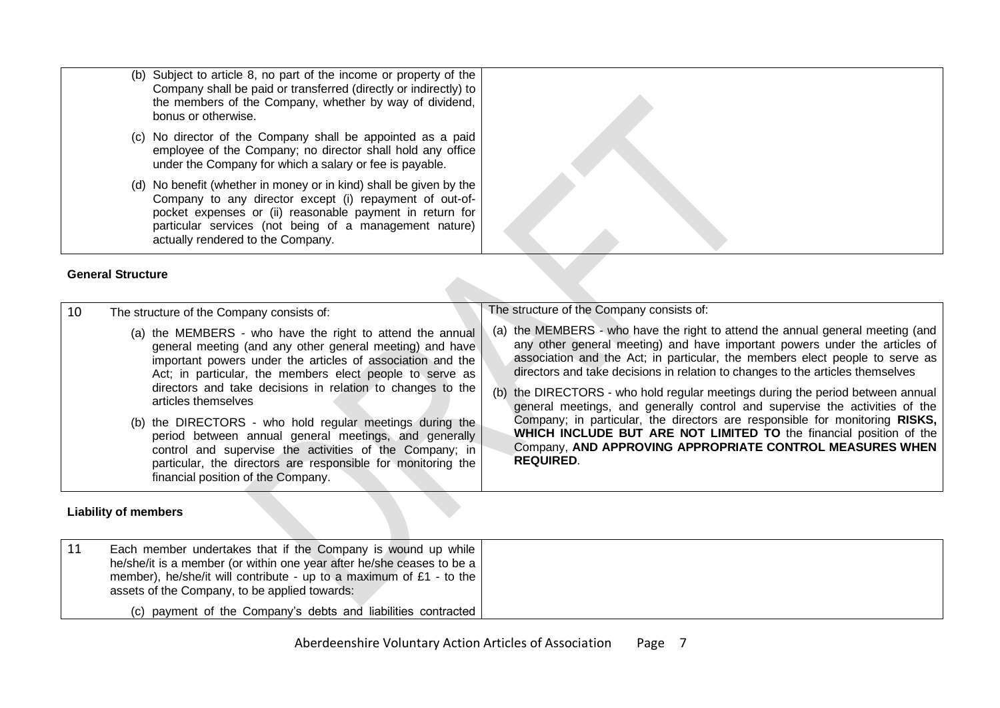- (b) Subject to article 8, no part of the income or property of the Company shall be paid or transferred (directly or indirectly) to the members of the Company, whether by way of dividend, bonus or otherwise.
	- (c) No director of the Company shall be appointed as a paid employee of the Company; no director shall hold any office under the Company for which a salary or fee is payable.
	- (d) No benefit (whether in money or in kind) shall be given by the Company to any director except (i) repayment of out-ofpocket expenses or (ii) reasonable payment in return for particular services (not being of a management nature) actually rendered to the Company.

#### **General Structure**

| 10 | The structure of the Company consists of:                                                                                                                                                                                                                                                                                                                                                                                                                                                                                                                                                                                  | The structure of the Company consists of:                                                                                                                                                                                                                                                                                                                                                                                                                                                                                                                                                                                                                                                                                                   |
|----|----------------------------------------------------------------------------------------------------------------------------------------------------------------------------------------------------------------------------------------------------------------------------------------------------------------------------------------------------------------------------------------------------------------------------------------------------------------------------------------------------------------------------------------------------------------------------------------------------------------------------|---------------------------------------------------------------------------------------------------------------------------------------------------------------------------------------------------------------------------------------------------------------------------------------------------------------------------------------------------------------------------------------------------------------------------------------------------------------------------------------------------------------------------------------------------------------------------------------------------------------------------------------------------------------------------------------------------------------------------------------------|
|    | (a) the MEMBERS - who have the right to attend the annual<br>general meeting (and any other general meeting) and have<br>important powers under the articles of association and the<br>Act; in particular, the members elect people to serve as<br>directors and take decisions in relation to changes to the<br>articles themselves<br>(b) the DIRECTORS - who hold regular meetings during the<br>period between annual general meetings, and generally<br>control and supervise the activities of the Company; in<br>particular, the directors are responsible for monitoring the<br>financial position of the Company. | (a) the MEMBERS - who have the right to attend the annual general meeting (and<br>any other general meeting) and have important powers under the articles of<br>association and the Act; in particular, the members elect people to serve as<br>directors and take decisions in relation to changes to the articles themselves<br>(b) the DIRECTORS - who hold regular meetings during the period between annual<br>general meetings, and generally control and supervise the activities of the<br>Company; in particular, the directors are responsible for monitoring RISKS,<br><b>WHICH INCLUDE BUT ARE NOT LIMITED TO the financial position of the</b><br>Company, AND APPROVING APPROPRIATE CONTROL MEASURES WHEN<br><b>REQUIRED.</b> |

#### **Liability of members**

<span id="page-6-1"></span><span id="page-6-0"></span>

| -11 | Each member undertakes that if the Company is wound up while<br>he/she/it is a member (or within one year after he/she ceases to be a  <br>member), he/she/it will contribute - up to a maximum of £1 - to the<br>assets of the Company, to be applied towards: |  |
|-----|-----------------------------------------------------------------------------------------------------------------------------------------------------------------------------------------------------------------------------------------------------------------|--|
|     | (c) payment of the Company's debts and liabilities contracted                                                                                                                                                                                                   |  |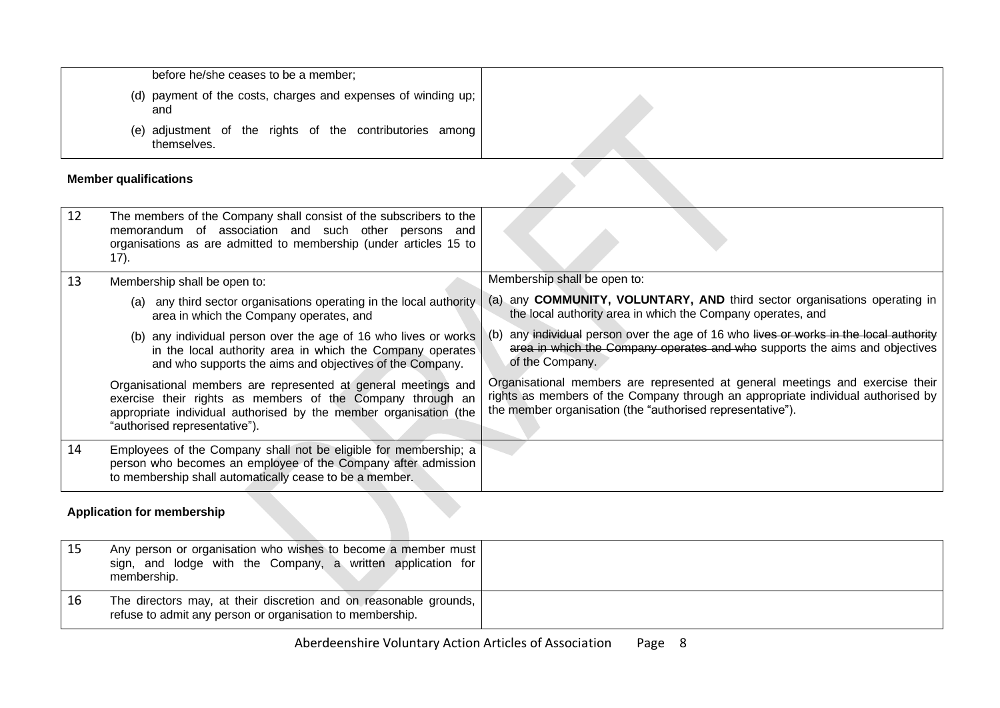| before he/she ceases to be a member;                                    |  |
|-------------------------------------------------------------------------|--|
| (d) payment of the costs, charges and expenses of winding up;<br>and    |  |
| (e) adjustment of the rights of the contributories among<br>themselves. |  |

# **Member qualifications**

|    | <b>Member qualifications</b>                                                                                                                                                                                                       |                                                                                                                                                                                                                                 |
|----|------------------------------------------------------------------------------------------------------------------------------------------------------------------------------------------------------------------------------------|---------------------------------------------------------------------------------------------------------------------------------------------------------------------------------------------------------------------------------|
| 12 | The members of the Company shall consist of the subscribers to the<br>memorandum of association and such other persons and<br>organisations as are admitted to membership (under articles 15 to<br>$(17)$ .                        |                                                                                                                                                                                                                                 |
| 13 | Membership shall be open to:                                                                                                                                                                                                       | Membership shall be open to:                                                                                                                                                                                                    |
|    | (a) any third sector organisations operating in the local authority<br>area in which the Company operates, and                                                                                                                     | (a) any <b>COMMUNITY, VOLUNTARY, AND</b> third sector organisations operating in<br>the local authority area in which the Company operates, and                                                                                 |
|    | (b) any individual person over the age of 16 who lives or works<br>in the local authority area in which the Company operates<br>and who supports the aims and objectives of the Company.                                           | any individual person over the age of 16 who lives or works in the local authority<br>area in which the Company operates and who supports the aims and objectives<br>of the Company.                                            |
|    | Organisational members are represented at general meetings and<br>exercise their rights as members of the Company through an<br>appropriate individual authorised by the member organisation (the<br>"authorised representative"). | Organisational members are represented at general meetings and exercise their<br>rights as members of the Company through an appropriate individual authorised by<br>the member organisation (the "authorised representative"). |
| 14 | Employees of the Company shall not be eligible for membership; a<br>person who becomes an employee of the Company after admission<br>to membership shall automatically cease to be a member.                                       |                                                                                                                                                                                                                                 |

# <span id="page-7-0"></span>**Application for membership**

<span id="page-7-1"></span>

| Any person or organisation who wishes to become a member must<br>sign, and lodge with the Company, a written application for<br>membership. |  |
|---------------------------------------------------------------------------------------------------------------------------------------------|--|
| The directors may, at their discretion and on reasonable grounds,  <br>refuse to admit any person or organisation to membership.            |  |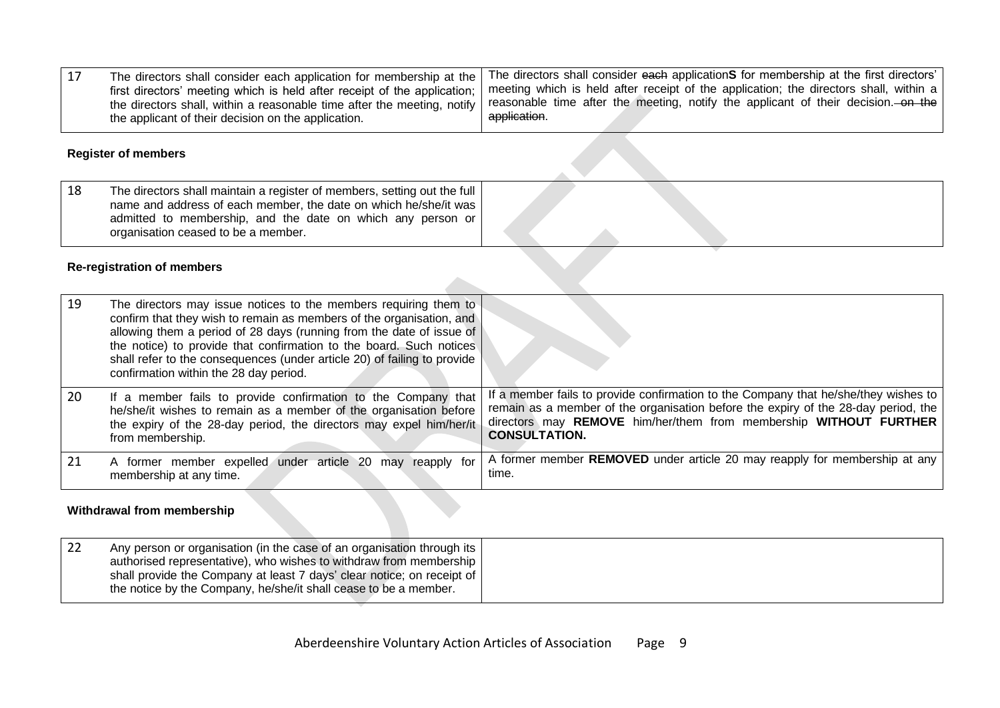| The directors shall consider each application for membership at the      | <sup>1</sup> The directors shall consider each applicationS for membership at the first directors' |
|--------------------------------------------------------------------------|----------------------------------------------------------------------------------------------------|
| first directors' meeting which is held after receipt of the application; | I meeting which is held after receipt of the application; the directors shall, within a $ $        |
| the directors shall, within a reasonable time after the meeting, notify  | I reasonable time after the meeting, notify the applicant of their decision. on the                |
| the applicant of their decision on the application.                      | application.                                                                                       |

#### **Register of members**

| 18<br>The directors shall maintain a register of members, setting out the full  <br>name and address of each member, the date on which he/she/it was<br>admitted to membership, and the date on which any person or<br>organisation ceased to be a member. |  |
|------------------------------------------------------------------------------------------------------------------------------------------------------------------------------------------------------------------------------------------------------------|--|
|------------------------------------------------------------------------------------------------------------------------------------------------------------------------------------------------------------------------------------------------------------|--|

#### **Re-registration of members**

| 19  | The directors may issue notices to the members requiring them to<br>confirm that they wish to remain as members of the organisation, and<br>allowing them a period of 28 days (running from the date of issue of<br>the notice) to provide that confirmation to the board. Such notices<br>shall refer to the consequences (under article 20) of failing to provide<br>confirmation within the 28 day period. |                                                                                                                                                                                                                                                                        |
|-----|---------------------------------------------------------------------------------------------------------------------------------------------------------------------------------------------------------------------------------------------------------------------------------------------------------------------------------------------------------------------------------------------------------------|------------------------------------------------------------------------------------------------------------------------------------------------------------------------------------------------------------------------------------------------------------------------|
| -20 | If a member fails to provide confirmation to the Company that<br>he/she/it wishes to remain as a member of the organisation before<br>the expiry of the 28-day period, the directors may expel him/her/it<br>from membership.                                                                                                                                                                                 | If a member fails to provide confirmation to the Company that he/she/they wishes to<br>remain as a member of the organisation before the expiry of the 28-day period, the<br>directors may REMOVE him/her/them from membership WITHOUT FURTHER<br><b>CONSULTATION.</b> |
|     | A former member expelled under article 20 may<br>reapply for<br>membership at any time.                                                                                                                                                                                                                                                                                                                       | A former member REMOVED under article 20 may reapply for membership at any<br>time.                                                                                                                                                                                    |

### <span id="page-8-0"></span>**Withdrawal from membership**

<span id="page-8-2"></span><span id="page-8-1"></span>

| Any person or organisation (in the case of an organisation through its                                                                       |  |
|----------------------------------------------------------------------------------------------------------------------------------------------|--|
| authorised representative), who wishes to withdraw from membership<br>shall provide the Company at least 7 days' clear notice; on receipt of |  |
| the notice by the Company, he/she/it shall cease to be a member.                                                                             |  |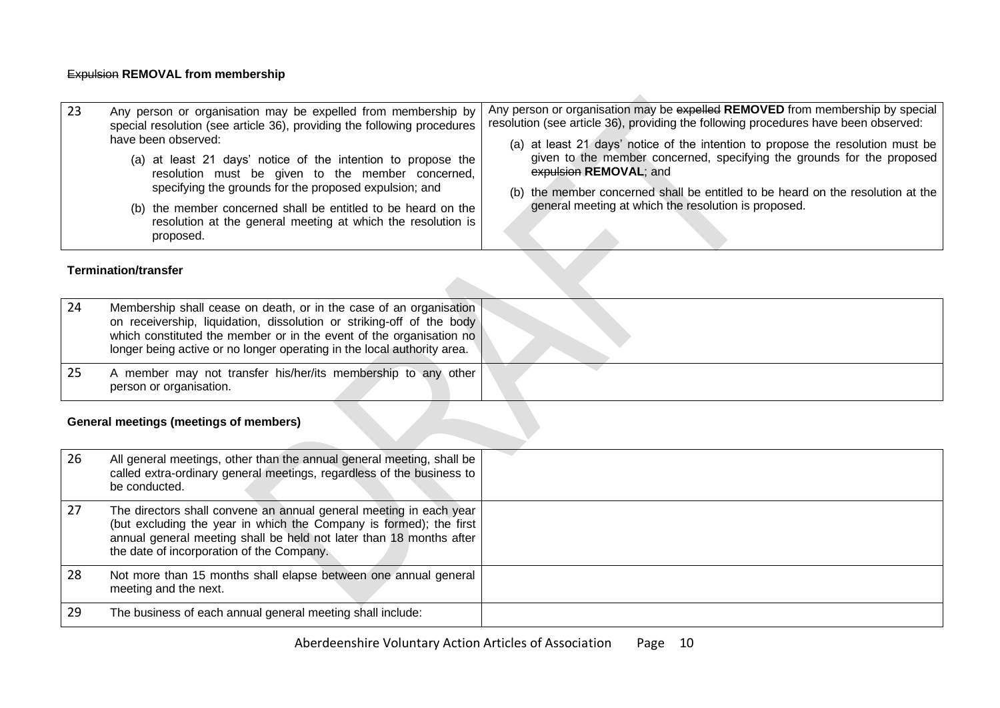### Expulsion **REMOVAL from membership**

| 23 | Any person or organisation may be expelled from membership by<br>special resolution (see article 36), providing the following procedures<br>have been observed:<br>(a) at least 21 days' notice of the intention to propose the<br>resolution must be given to the member concerned,<br>specifying the grounds for the proposed expulsion; and<br>(b) the member concerned shall be entitled to be heard on the<br>resolution at the general meeting at which the resolution is<br>proposed. | Any person or organisation may be expelled REMOVED from membership by special<br>resolution (see article 36), providing the following procedures have been observed:<br>(a) at least 21 days' notice of the intention to propose the resolution must be<br>given to the member concerned, specifying the grounds for the proposed<br>expulsion REMOVAL; and<br>(b) the member concerned shall be entitled to be heard on the resolution at the<br>general meeting at which the resolution is proposed. |
|----|----------------------------------------------------------------------------------------------------------------------------------------------------------------------------------------------------------------------------------------------------------------------------------------------------------------------------------------------------------------------------------------------------------------------------------------------------------------------------------------------|--------------------------------------------------------------------------------------------------------------------------------------------------------------------------------------------------------------------------------------------------------------------------------------------------------------------------------------------------------------------------------------------------------------------------------------------------------------------------------------------------------|
|    | <b>Termination/transfer</b>                                                                                                                                                                                                                                                                                                                                                                                                                                                                  |                                                                                                                                                                                                                                                                                                                                                                                                                                                                                                        |

| 24 | Membership shall cease on death, or in the case of an organisation<br>on receivership, liquidation, dissolution or striking-off of the body<br>which constituted the member or in the event of the organisation no<br>longer being active or no longer operating in the local authority area. |  |
|----|-----------------------------------------------------------------------------------------------------------------------------------------------------------------------------------------------------------------------------------------------------------------------------------------------|--|
|    | A member may not transfer his/her/its membership to any other<br>person or organisation.                                                                                                                                                                                                      |  |

# <span id="page-9-0"></span>**General meetings (meetings of members)**

<span id="page-9-2"></span><span id="page-9-1"></span>

| 26 | All general meetings, other than the annual general meeting, shall be<br>called extra-ordinary general meetings, regardless of the business to<br>be conducted.                                                                                              |  |
|----|--------------------------------------------------------------------------------------------------------------------------------------------------------------------------------------------------------------------------------------------------------------|--|
| 27 | The directors shall convene an annual general meeting in each year<br>(but excluding the year in which the Company is formed); the first<br>annual general meeting shall be held not later than 18 months after<br>the date of incorporation of the Company. |  |
| 28 | Not more than 15 months shall elapse between one annual general<br>meeting and the next.                                                                                                                                                                     |  |
| 29 | The business of each annual general meeting shall include:                                                                                                                                                                                                   |  |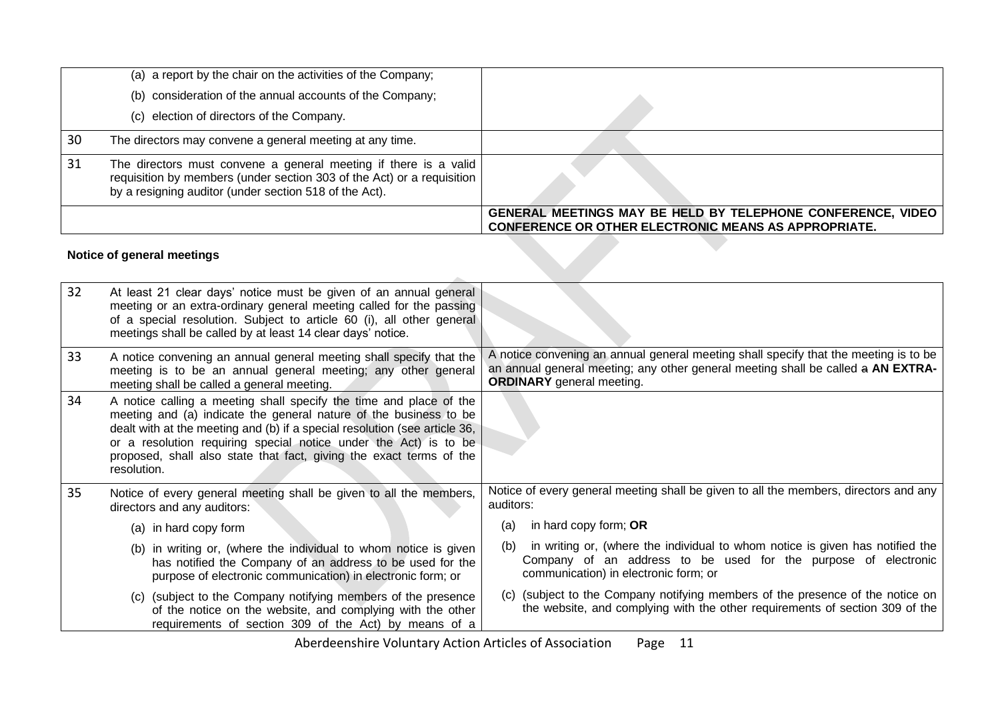|    | Notice of general meetings                                                                                                                                                                           |                                                                                                                            |
|----|------------------------------------------------------------------------------------------------------------------------------------------------------------------------------------------------------|----------------------------------------------------------------------------------------------------------------------------|
|    |                                                                                                                                                                                                      | GENERAL MEETINGS MAY BE HELD BY TELEPHONE CONFERENCE, VIDEO<br><b>CONFERENCE OR OTHER ELECTRONIC MEANS AS APPROPRIATE.</b> |
| 31 | The directors must convene a general meeting if there is a valid<br>requisition by members (under section 303 of the Act) or a requisition<br>by a resigning auditor (under section 518 of the Act). |                                                                                                                            |
| 30 | The directors may convene a general meeting at any time.                                                                                                                                             |                                                                                                                            |
|    | (c) election of directors of the Company.                                                                                                                                                            |                                                                                                                            |
|    | (b) consideration of the annual accounts of the Company;                                                                                                                                             |                                                                                                                            |
|    | (a) a report by the chair on the activities of the Company;                                                                                                                                          |                                                                                                                            |

## **Notice of general meetings**

<span id="page-10-0"></span>

| 32 | At least 21 clear days' notice must be given of an annual general<br>meeting or an extra-ordinary general meeting called for the passing<br>of a special resolution. Subject to article 60 (i), all other general<br>meetings shall be called by at least 14 clear days' notice.                                                                                                |                                                                                                                                                                                                              |
|----|---------------------------------------------------------------------------------------------------------------------------------------------------------------------------------------------------------------------------------------------------------------------------------------------------------------------------------------------------------------------------------|--------------------------------------------------------------------------------------------------------------------------------------------------------------------------------------------------------------|
| 33 | A notice convening an annual general meeting shall specify that the<br>meeting is to be an annual general meeting; any other general<br>meeting shall be called a general meeting.                                                                                                                                                                                              | A notice convening an annual general meeting shall specify that the meeting is to be<br>an annual general meeting; any other general meeting shall be called a AN EXTRA-<br><b>ORDINARY</b> general meeting. |
| 34 | A notice calling a meeting shall specify the time and place of the<br>meeting and (a) indicate the general nature of the business to be<br>dealt with at the meeting and (b) if a special resolution (see article 36,<br>or a resolution requiring special notice under the Act) is to be<br>proposed, shall also state that fact, giving the exact terms of the<br>resolution. |                                                                                                                                                                                                              |
| 35 | Notice of every general meeting shall be given to all the members,<br>directors and any auditors:                                                                                                                                                                                                                                                                               | Notice of every general meeting shall be given to all the members, directors and any<br>auditors:                                                                                                            |
|    | (a) in hard copy form                                                                                                                                                                                                                                                                                                                                                           | in hard copy form; OR<br>(a)                                                                                                                                                                                 |
|    | (b) in writing or, (where the individual to whom notice is given<br>has notified the Company of an address to be used for the<br>purpose of electronic communication) in electronic form; or                                                                                                                                                                                    | in writing or, (where the individual to whom notice is given has notified the<br>(b)<br>Company of an address to be used for the purpose of electronic<br>communication) in electronic form; or              |
|    | (c) (subject to the Company notifying members of the presence<br>of the notice on the website, and complying with the other<br>requirements of section 309 of the Act) by means of a                                                                                                                                                                                            | (c) (subject to the Company notifying members of the presence of the notice on<br>the website, and complying with the other requirements of section 309 of the                                               |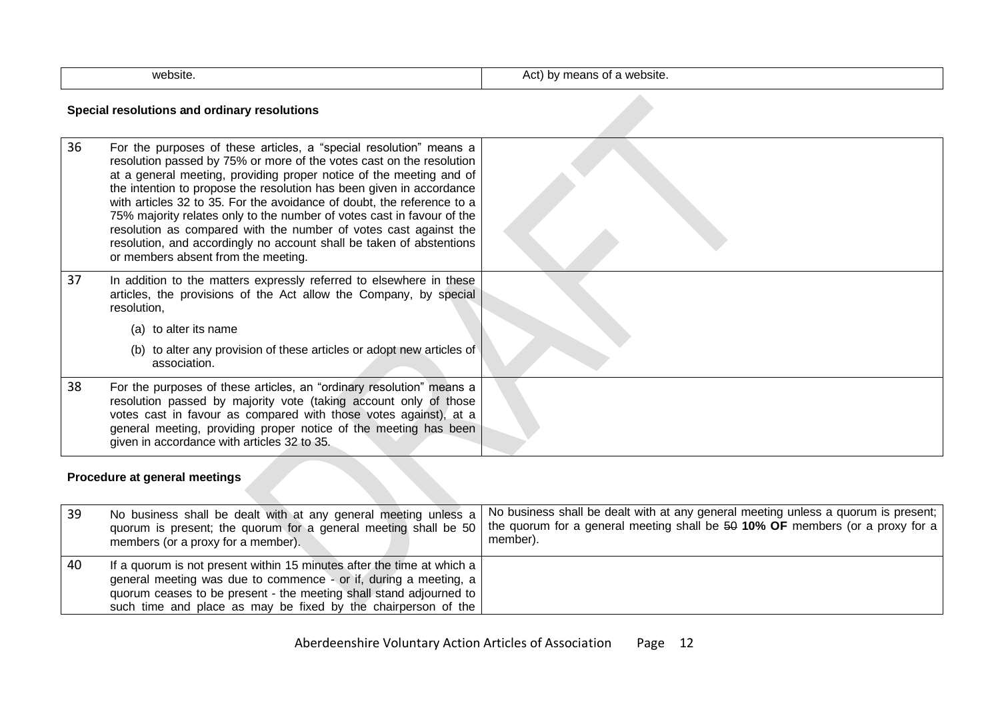| website. | website.<br>$\mathbf{m}$<br>$\cdots$<br>by means or<br>$\sim$<br>ישר |
|----------|----------------------------------------------------------------------|

### **Special resolutions and ordinary resolutions**

| 36 | For the purposes of these articles, a "special resolution" means a<br>resolution passed by 75% or more of the votes cast on the resolution<br>at a general meeting, providing proper notice of the meeting and of<br>the intention to propose the resolution has been given in accordance<br>with articles 32 to 35. For the avoidance of doubt, the reference to a<br>75% majority relates only to the number of votes cast in favour of the<br>resolution as compared with the number of votes cast against the<br>resolution, and accordingly no account shall be taken of abstentions<br>or members absent from the meeting. |  |
|----|----------------------------------------------------------------------------------------------------------------------------------------------------------------------------------------------------------------------------------------------------------------------------------------------------------------------------------------------------------------------------------------------------------------------------------------------------------------------------------------------------------------------------------------------------------------------------------------------------------------------------------|--|
| 37 | In addition to the matters expressly referred to elsewhere in these<br>articles, the provisions of the Act allow the Company, by special<br>resolution,                                                                                                                                                                                                                                                                                                                                                                                                                                                                          |  |
|    | (a) to alter its name                                                                                                                                                                                                                                                                                                                                                                                                                                                                                                                                                                                                            |  |
|    | (b) to alter any provision of these articles or adopt new articles of<br>association.                                                                                                                                                                                                                                                                                                                                                                                                                                                                                                                                            |  |
| 38 | For the purposes of these articles, an "ordinary resolution" means a<br>resolution passed by majority vote (taking account only of those<br>votes cast in favour as compared with those votes against), at a<br>general meeting, providing proper notice of the meeting has been<br>given in accordance with articles 32 to 35.                                                                                                                                                                                                                                                                                                  |  |

### <span id="page-11-0"></span>**Procedure at general meetings**

<span id="page-11-1"></span>

| -39 | No business shall be dealt with at any general meeting unless a<br>members (or a proxy for a member). | No business shall be dealt with at any general meeting unless a quorum is present;  <br>quorum is present; the quorum for a general meeting shall be 50   the quorum for a general meeting shall be 50 10% OF members (or a proxy for a  <br>member). |
|-----|-------------------------------------------------------------------------------------------------------|-------------------------------------------------------------------------------------------------------------------------------------------------------------------------------------------------------------------------------------------------------|
| -40 | If a quorum is not present within 15 minutes after the time at which a                                |                                                                                                                                                                                                                                                       |
|     | general meeting was due to commence - or if, during a meeting, a                                      |                                                                                                                                                                                                                                                       |
|     | quorum ceases to be present - the meeting shall stand adjourned to                                    |                                                                                                                                                                                                                                                       |
|     | such time and place as may be fixed by the chairperson of the                                         |                                                                                                                                                                                                                                                       |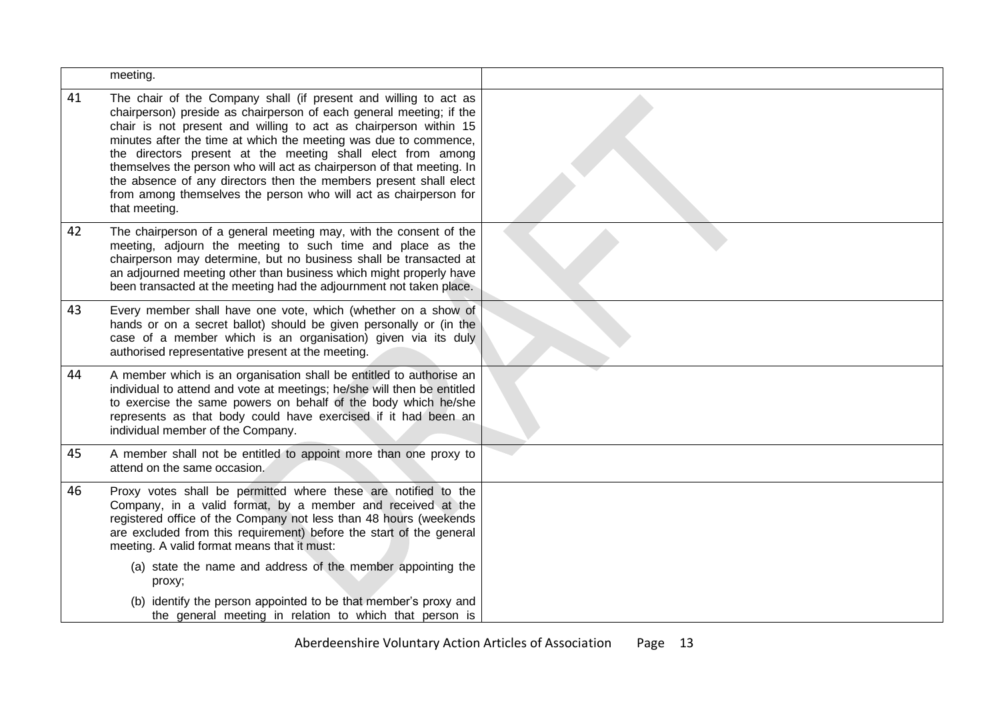|    | meeting.                                                                                                                                                                                                                                                                                                                                                                                                                                                                                                                                                                          |  |
|----|-----------------------------------------------------------------------------------------------------------------------------------------------------------------------------------------------------------------------------------------------------------------------------------------------------------------------------------------------------------------------------------------------------------------------------------------------------------------------------------------------------------------------------------------------------------------------------------|--|
| 41 | The chair of the Company shall (if present and willing to act as<br>chairperson) preside as chairperson of each general meeting; if the<br>chair is not present and willing to act as chairperson within 15<br>minutes after the time at which the meeting was due to commence,<br>the directors present at the meeting shall elect from among<br>themselves the person who will act as chairperson of that meeting. In<br>the absence of any directors then the members present shall elect<br>from among themselves the person who will act as chairperson for<br>that meeting. |  |
| 42 | The chairperson of a general meeting may, with the consent of the<br>meeting, adjourn the meeting to such time and place as the<br>chairperson may determine, but no business shall be transacted at<br>an adjourned meeting other than business which might properly have<br>been transacted at the meeting had the adjournment not taken place.                                                                                                                                                                                                                                 |  |
| 43 | Every member shall have one vote, which (whether on a show of<br>hands or on a secret ballot) should be given personally or (in the<br>case of a member which is an organisation) given via its duly<br>authorised representative present at the meeting.                                                                                                                                                                                                                                                                                                                         |  |
| 44 | A member which is an organisation shall be entitled to authorise an<br>individual to attend and vote at meetings; he/she will then be entitled<br>to exercise the same powers on behalf of the body which he/she<br>represents as that body could have exercised if it had been an<br>individual member of the Company.                                                                                                                                                                                                                                                           |  |
| 45 | A member shall not be entitled to appoint more than one proxy to<br>attend on the same occasion.                                                                                                                                                                                                                                                                                                                                                                                                                                                                                  |  |
| 46 | Proxy votes shall be permitted where these are notified to the<br>Company, in a valid format, by a member and received at the<br>registered office of the Company not less than 48 hours (weekends<br>are excluded from this requirement) before the start of the general<br>meeting. A valid format means that it must:                                                                                                                                                                                                                                                          |  |
|    | (a) state the name and address of the member appointing the<br>proxy;                                                                                                                                                                                                                                                                                                                                                                                                                                                                                                             |  |
|    | (b) identify the person appointed to be that member's proxy and<br>the general meeting in relation to which that person is                                                                                                                                                                                                                                                                                                                                                                                                                                                        |  |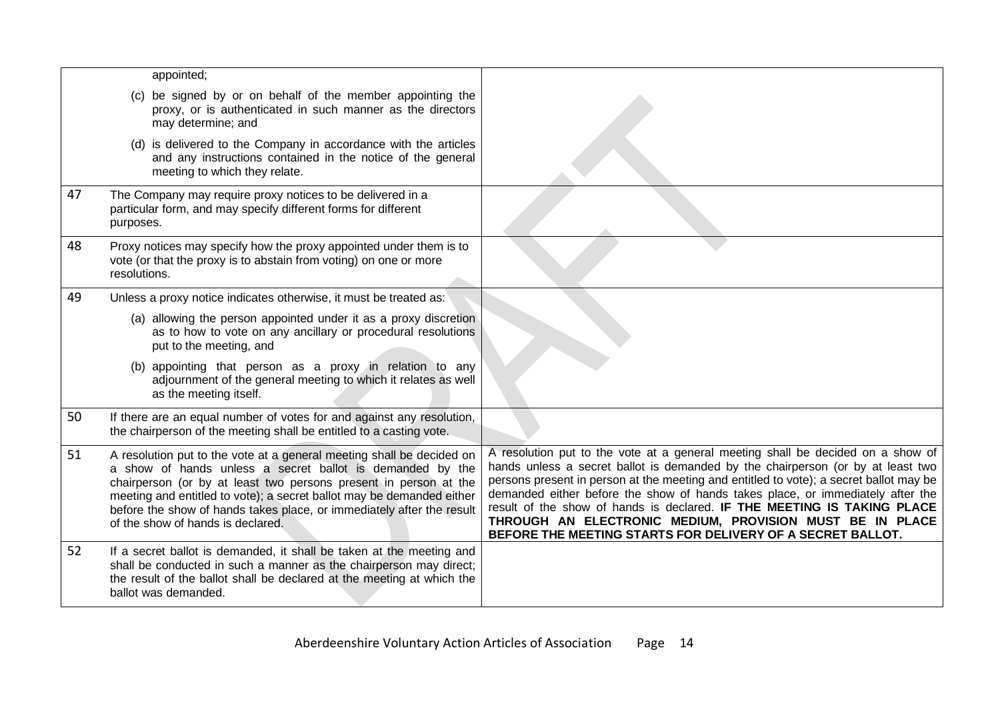|    | appointed;                                                                                                                                                                                                                                                                                                                                                                                    |                                                                                                                                                                                                                                                                                                                                                                                                                                                                                                                                                     |
|----|-----------------------------------------------------------------------------------------------------------------------------------------------------------------------------------------------------------------------------------------------------------------------------------------------------------------------------------------------------------------------------------------------|-----------------------------------------------------------------------------------------------------------------------------------------------------------------------------------------------------------------------------------------------------------------------------------------------------------------------------------------------------------------------------------------------------------------------------------------------------------------------------------------------------------------------------------------------------|
|    | (c) be signed by or on behalf of the member appointing the<br>proxy, or is authenticated in such manner as the directors<br>may determine; and                                                                                                                                                                                                                                                |                                                                                                                                                                                                                                                                                                                                                                                                                                                                                                                                                     |
|    | (d) is delivered to the Company in accordance with the articles<br>and any instructions contained in the notice of the general<br>meeting to which they relate.                                                                                                                                                                                                                               |                                                                                                                                                                                                                                                                                                                                                                                                                                                                                                                                                     |
| 47 | The Company may require proxy notices to be delivered in a<br>particular form, and may specify different forms for different<br>purposes.                                                                                                                                                                                                                                                     |                                                                                                                                                                                                                                                                                                                                                                                                                                                                                                                                                     |
| 48 | Proxy notices may specify how the proxy appointed under them is to<br>vote (or that the proxy is to abstain from voting) on one or more<br>resolutions.                                                                                                                                                                                                                                       |                                                                                                                                                                                                                                                                                                                                                                                                                                                                                                                                                     |
| 49 | Unless a proxy notice indicates otherwise, it must be treated as:                                                                                                                                                                                                                                                                                                                             |                                                                                                                                                                                                                                                                                                                                                                                                                                                                                                                                                     |
|    | (a) allowing the person appointed under it as a proxy discretion<br>as to how to vote on any ancillary or procedural resolutions<br>put to the meeting, and                                                                                                                                                                                                                                   |                                                                                                                                                                                                                                                                                                                                                                                                                                                                                                                                                     |
|    | (b) appointing that person as a proxy in relation to any<br>adjournment of the general meeting to which it relates as well<br>as the meeting itself.                                                                                                                                                                                                                                          |                                                                                                                                                                                                                                                                                                                                                                                                                                                                                                                                                     |
| 50 | If there are an equal number of votes for and against any resolution,<br>the chairperson of the meeting shall be entitled to a casting vote.                                                                                                                                                                                                                                                  |                                                                                                                                                                                                                                                                                                                                                                                                                                                                                                                                                     |
| 51 | A resolution put to the vote at a general meeting shall be decided on<br>a show of hands unless a secret ballot is demanded by the<br>chairperson (or by at least two persons present in person at the<br>meeting and entitled to vote); a secret ballot may be demanded either<br>before the show of hands takes place, or immediately after the result<br>of the show of hands is declared. | A resolution put to the vote at a general meeting shall be decided on a show of<br>hands unless a secret ballot is demanded by the chairperson (or by at least two<br>persons present in person at the meeting and entitled to vote); a secret ballot may be<br>demanded either before the show of hands takes place, or immediately after the<br>result of the show of hands is declared. IF THE MEETING IS TAKING PLACE<br>THROUGH AN ELECTRONIC MEDIUM, PROVISION MUST BE IN PLACE<br>BEFORE THE MEETING STARTS FOR DELIVERY OF A SECRET BALLOT. |
| 52 | If a secret ballot is demanded, it shall be taken at the meeting and<br>shall be conducted in such a manner as the chairperson may direct;<br>the result of the ballot shall be declared at the meeting at which the<br>ballot was demanded.                                                                                                                                                  |                                                                                                                                                                                                                                                                                                                                                                                                                                                                                                                                                     |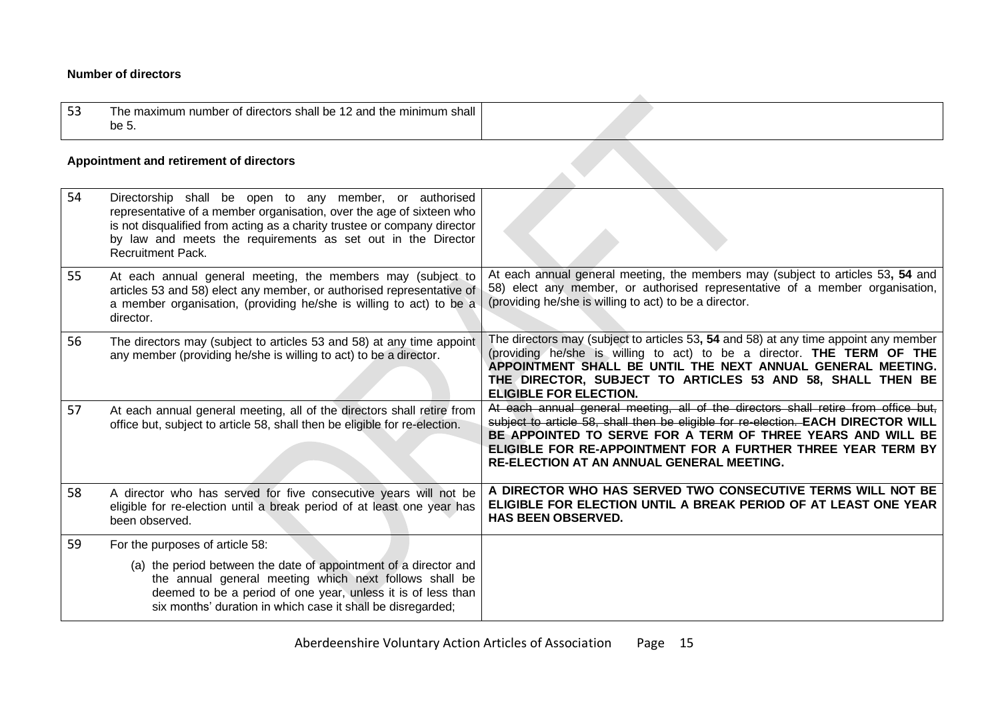### **Number of directors**

| 53 | and the<br>shall<br>$\ldots$<br>l he maxımum<br>min<br>, shall<br>he 1<br>directors<br>umber of<br>.<br>be 5. |  |
|----|---------------------------------------------------------------------------------------------------------------|--|

#### **Appointment and retirement of directors**

<span id="page-14-1"></span><span id="page-14-0"></span>

| 54 | Directorship shall be open to any member, or authorised<br>representative of a member organisation, over the age of sixteen who<br>is not disqualified from acting as a charity trustee or company director<br>by law and meets the requirements as set out in the Director<br><b>Recruitment Pack.</b> |                                                                                                                                                                                                                                                                                                                                                            |
|----|---------------------------------------------------------------------------------------------------------------------------------------------------------------------------------------------------------------------------------------------------------------------------------------------------------|------------------------------------------------------------------------------------------------------------------------------------------------------------------------------------------------------------------------------------------------------------------------------------------------------------------------------------------------------------|
| 55 | At each annual general meeting, the members may (subject to<br>articles 53 and 58) elect any member, or authorised representative of<br>a member organisation, (providing he/she is willing to act) to be a<br>director.                                                                                | At each annual general meeting, the members may (subject to articles 53, 54 and<br>58) elect any member, or authorised representative of a member organisation,<br>(providing he/she is willing to act) to be a director.                                                                                                                                  |
| 56 | The directors may (subject to articles 53 and 58) at any time appoint<br>any member (providing he/she is willing to act) to be a director.                                                                                                                                                              | The directors may (subject to articles 53, 54 and 58) at any time appoint any member<br>(providing he/she is willing to act) to be a director. THE TERM OF THE<br>APPOINTMENT SHALL BE UNTIL THE NEXT ANNUAL GENERAL MEETING.<br>THE DIRECTOR, SUBJECT TO ARTICLES 53 AND 58, SHALL THEN BE<br><b>ELIGIBLE FOR ELECTION.</b>                               |
| 57 | At each annual general meeting, all of the directors shall retire from<br>office but, subject to article 58, shall then be eligible for re-election.                                                                                                                                                    | At each annual general meeting, all of the directors shall retire from office but,<br>subject to article 58, shall then be eligible for re-election. EACH DIRECTOR WILL<br>BE APPOINTED TO SERVE FOR A TERM OF THREE YEARS AND WILL BE<br>ELIGIBLE FOR RE-APPOINTMENT FOR A FURTHER THREE YEAR TERM BY<br><b>RE-ELECTION AT AN ANNUAL GENERAL MEETING.</b> |
| 58 | A director who has served for five consecutive years will not be<br>eligible for re-election until a break period of at least one year has<br>been observed.                                                                                                                                            | A DIRECTOR WHO HAS SERVED TWO CONSECUTIVE TERMS WILL NOT BE<br>ELIGIBLE FOR ELECTION UNTIL A BREAK PERIOD OF AT LEAST ONE YEAR<br><b>HAS BEEN OBSERVED.</b>                                                                                                                                                                                                |
| 59 | For the purposes of article 58:                                                                                                                                                                                                                                                                         |                                                                                                                                                                                                                                                                                                                                                            |
|    | (a) the period between the date of appointment of a director and<br>the annual general meeting which next follows shall be<br>deemed to be a period of one year, unless it is of less than<br>six months' duration in which case it shall be disregarded;                                               |                                                                                                                                                                                                                                                                                                                                                            |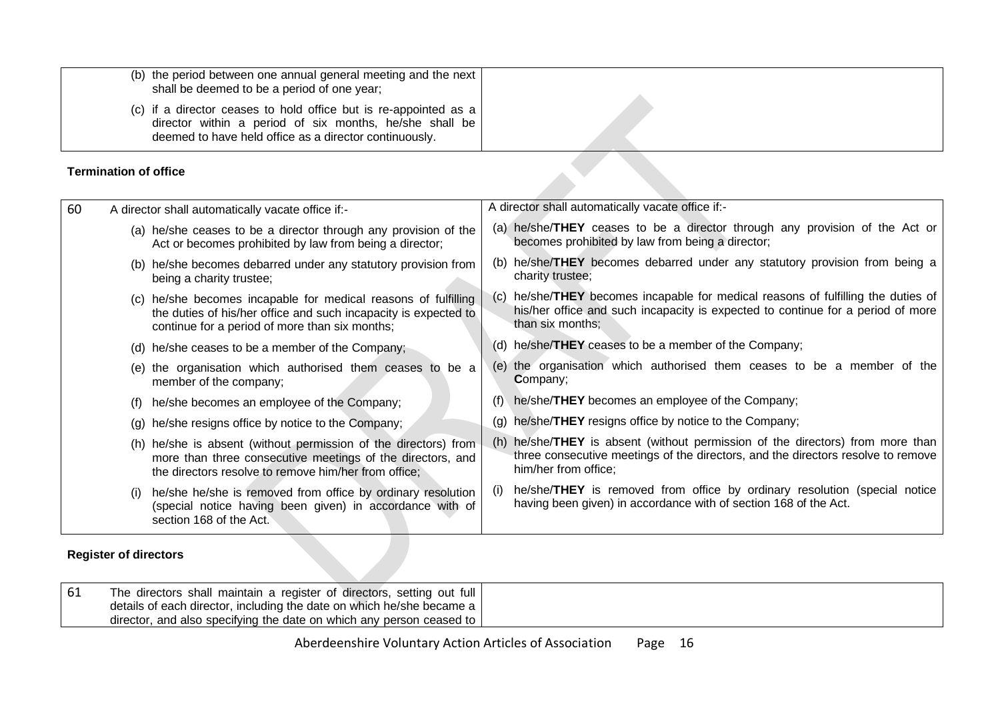| (b) the period between one annual general meeting and the next<br>shall be deemed to be a period of one year;                                                                                 |  |
|-----------------------------------------------------------------------------------------------------------------------------------------------------------------------------------------------|--|
| (c) if a director ceases to hold office but is re-appointed as a $\vert$<br>director within a period of six months, he/she shall be<br>deemed to have held office as a director continuously. |  |

### **Termination of office**

|    | <b>Termination of office</b> |                                                                                                                                                                                       |     |                                                                                                                                                                                            |
|----|------------------------------|---------------------------------------------------------------------------------------------------------------------------------------------------------------------------------------|-----|--------------------------------------------------------------------------------------------------------------------------------------------------------------------------------------------|
| 60 |                              | A director shall automatically vacate office if:-                                                                                                                                     |     | A director shall automatically vacate office if:-                                                                                                                                          |
|    |                              | (a) he/she ceases to be a director through any provision of the<br>Act or becomes prohibited by law from being a director;                                                            |     | (a) he/she/THEY ceases to be a director through any provision of the Act or<br>becomes prohibited by law from being a director;                                                            |
|    |                              | (b) he/she becomes debarred under any statutory provision from<br>being a charity trustee;                                                                                            |     | (b) he/she/THEY becomes debarred under any statutory provision from being a<br>charity trustee;                                                                                            |
|    |                              | (c) he/she becomes incapable for medical reasons of fulfilling<br>the duties of his/her office and such incapacity is expected to<br>continue for a period of more than six months;   |     | (c) he/she/THEY becomes incapable for medical reasons of fulfilling the duties of<br>his/her office and such incapacity is expected to continue for a period of more<br>than six months;   |
|    |                              | (d) he/she ceases to be a member of the Company;                                                                                                                                      |     | (d) he/she/THEY ceases to be a member of the Company;                                                                                                                                      |
|    |                              | (e) the organisation which authorised them ceases to be a<br>member of the company;                                                                                                   |     | (e) the organisation which authorised them ceases to be a member of the<br><b>Company;</b>                                                                                                 |
|    | (f)                          | he/she becomes an employee of the Company;                                                                                                                                            | (1) | he/she/THEY becomes an employee of the Company;                                                                                                                                            |
|    |                              | (g) he/she resigns office by notice to the Company;                                                                                                                                   |     | (g) he/she/THEY resigns office by notice to the Company;                                                                                                                                   |
|    |                              | (h) he/she is absent (without permission of the directors) from<br>more than three consecutive meetings of the directors, and<br>the directors resolve to remove him/her from office; |     | (h) he/she/THEY is absent (without permission of the directors) from more than<br>three consecutive meetings of the directors, and the directors resolve to remove<br>him/her from office; |
|    | (i)                          | he/she he/she is removed from office by ordinary resolution<br>(special notice having been given) in accordance with of<br>section 168 of the Act.                                    | (1) | he/she/THEY is removed from office by ordinary resolution (special notice<br>having been given) in accordance with of section 168 of the Act.                                              |
|    |                              |                                                                                                                                                                                       |     |                                                                                                                                                                                            |

## <span id="page-15-0"></span>**Register of directors**

<span id="page-15-1"></span>

| The directors shall maintain a register of directors, setting out full                                                                        |  |
|-----------------------------------------------------------------------------------------------------------------------------------------------|--|
| details of each director, including the date on which he/she became a<br>director, and also specifying the date on which any person ceased to |  |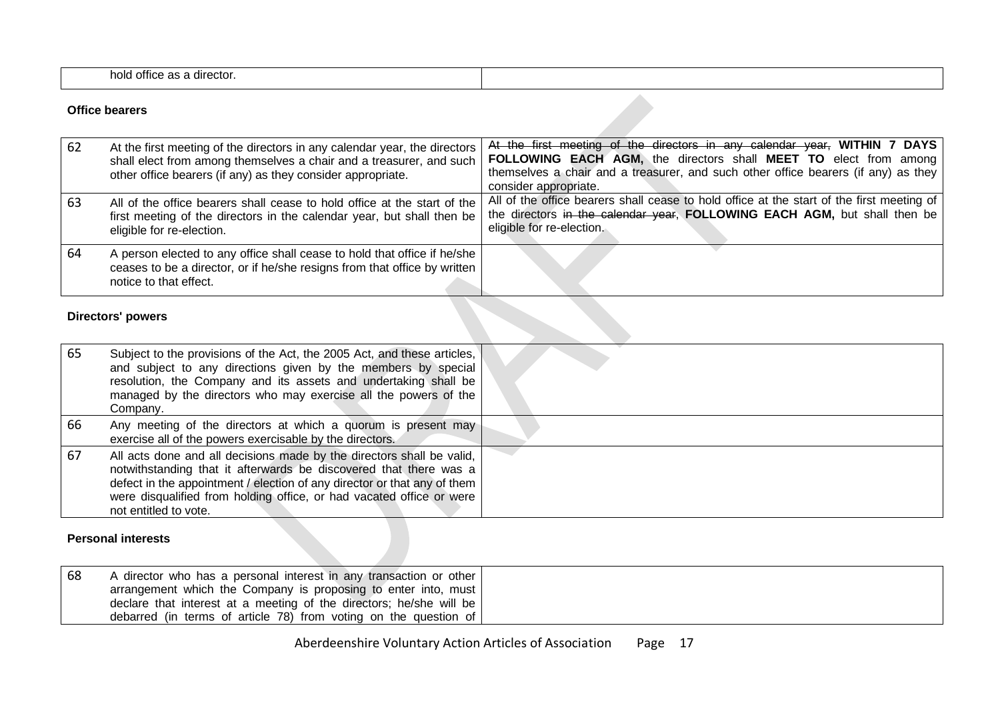| <br>director.<br><b>Office</b><br>hold |  |
|----------------------------------------|--|
|                                        |  |

#### **Office bearers**

| -62 | At the first meeting of the directors in any calendar year, the directors<br>shall elect from among themselves a chair and a treasurer, and such<br>other office bearers (if any) as they consider appropriate. | At the first meeting of the directors in any calendar year, WITHIN 7 DAYS<br>FOLLOWING EACH AGM, the directors shall MEET TO elect from among<br>themselves a chair and a treasurer, and such other office bearers (if any) as they<br>consider appropriate. |
|-----|-----------------------------------------------------------------------------------------------------------------------------------------------------------------------------------------------------------------|--------------------------------------------------------------------------------------------------------------------------------------------------------------------------------------------------------------------------------------------------------------|
| -63 | All of the office bearers shall cease to hold office at the start of the<br>first meeting of the directors in the calendar year, but shall then be<br>eligible for re-election.                                 | All of the office bearers shall cease to hold office at the start of the first meeting of<br>the directors in the calendar year, FOLLOWING EACH AGM, but shall then be<br>eligible for re-election.                                                          |
| -64 | A person elected to any office shall cease to hold that office if he/she<br>ceases to be a director, or if he/she resigns from that office by written<br>notice to that effect.                                 |                                                                                                                                                                                                                                                              |

### **Directors' powers**

<span id="page-16-0"></span>

| 65 | Subject to the provisions of the Act, the 2005 Act, and these articles,<br>and subject to any directions given by the members by special<br>resolution, the Company and its assets and undertaking shall be<br>managed by the directors who may exercise all the powers of the<br>Company.                              |  |
|----|-------------------------------------------------------------------------------------------------------------------------------------------------------------------------------------------------------------------------------------------------------------------------------------------------------------------------|--|
| 66 | Any meeting of the directors at which a quorum is present may<br>exercise all of the powers exercisable by the directors.                                                                                                                                                                                               |  |
| 67 | All acts done and all decisions made by the directors shall be valid,<br>notwithstanding that it afterwards be discovered that there was a<br>defect in the appointment / election of any director or that any of them<br>were disqualified from holding office, or had vacated office or were<br>not entitled to vote. |  |

#### **Personal interests**

<span id="page-16-2"></span><span id="page-16-1"></span>

| 68 | $\sqrt{a}$ director who has a personal interest in any transaction or other |
|----|-----------------------------------------------------------------------------|
|    | arrangement which the Company is proposing to enter into, must              |
|    | declare that interest at a meeting of the directors; he/she will be         |
|    | debarred (in terms of article 78) from voting on the question of            |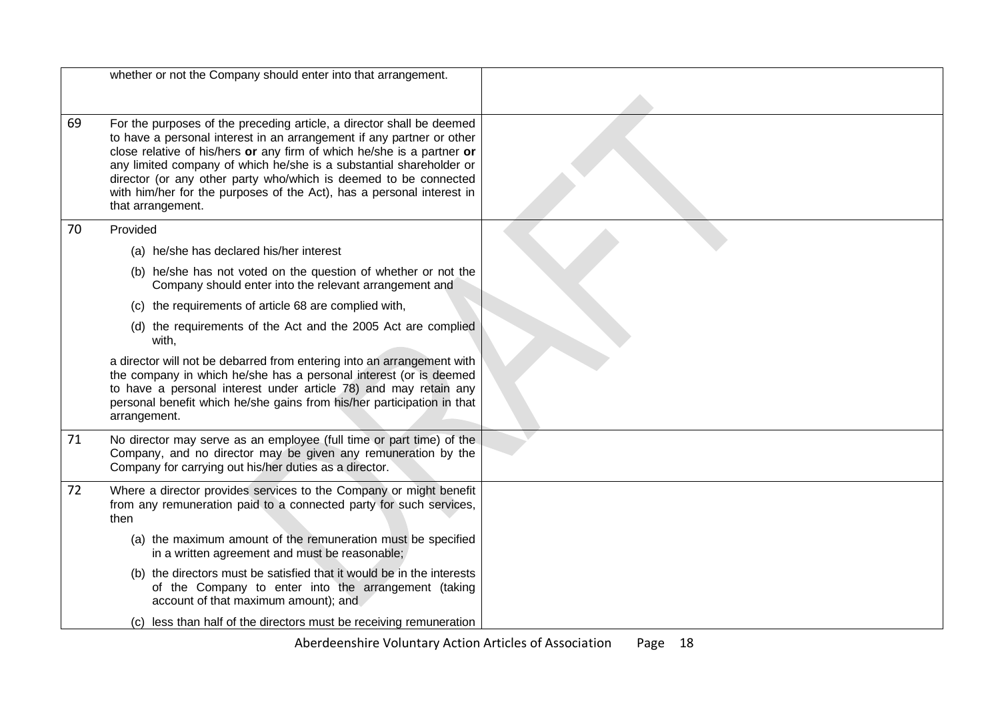|    | whether or not the Company should enter into that arrangement.                                                                                                                                                                                                                                                                                                                                                                                                    |  |
|----|-------------------------------------------------------------------------------------------------------------------------------------------------------------------------------------------------------------------------------------------------------------------------------------------------------------------------------------------------------------------------------------------------------------------------------------------------------------------|--|
|    |                                                                                                                                                                                                                                                                                                                                                                                                                                                                   |  |
| 69 | For the purposes of the preceding article, a director shall be deemed<br>to have a personal interest in an arrangement if any partner or other<br>close relative of his/hers or any firm of which he/she is a partner or<br>any limited company of which he/she is a substantial shareholder or<br>director (or any other party who/which is deemed to be connected<br>with him/her for the purposes of the Act), has a personal interest in<br>that arrangement. |  |
| 70 | Provided                                                                                                                                                                                                                                                                                                                                                                                                                                                          |  |
|    | (a) he/she has declared his/her interest                                                                                                                                                                                                                                                                                                                                                                                                                          |  |
|    | (b) he/she has not voted on the question of whether or not the<br>Company should enter into the relevant arrangement and                                                                                                                                                                                                                                                                                                                                          |  |
|    | (c) the requirements of article 68 are complied with,                                                                                                                                                                                                                                                                                                                                                                                                             |  |
|    | (d) the requirements of the Act and the 2005 Act are complied<br>with,                                                                                                                                                                                                                                                                                                                                                                                            |  |
|    | a director will not be debarred from entering into an arrangement with<br>the company in which he/she has a personal interest (or is deemed<br>to have a personal interest under article 78) and may retain any<br>personal benefit which he/she gains from his/her participation in that<br>arrangement.                                                                                                                                                         |  |
| 71 | No director may serve as an employee (full time or part time) of the<br>Company, and no director may be given any remuneration by the<br>Company for carrying out his/her duties as a director.                                                                                                                                                                                                                                                                   |  |
| 72 | Where a director provides services to the Company or might benefit<br>from any remuneration paid to a connected party for such services,<br>then                                                                                                                                                                                                                                                                                                                  |  |
|    | (a) the maximum amount of the remuneration must be specified<br>in a written agreement and must be reasonable;                                                                                                                                                                                                                                                                                                                                                    |  |
|    | (b) the directors must be satisfied that it would be in the interests<br>of the Company to enter into the arrangement (taking<br>account of that maximum amount); and                                                                                                                                                                                                                                                                                             |  |
|    | (c) less than half of the directors must be receiving remuneration                                                                                                                                                                                                                                                                                                                                                                                                |  |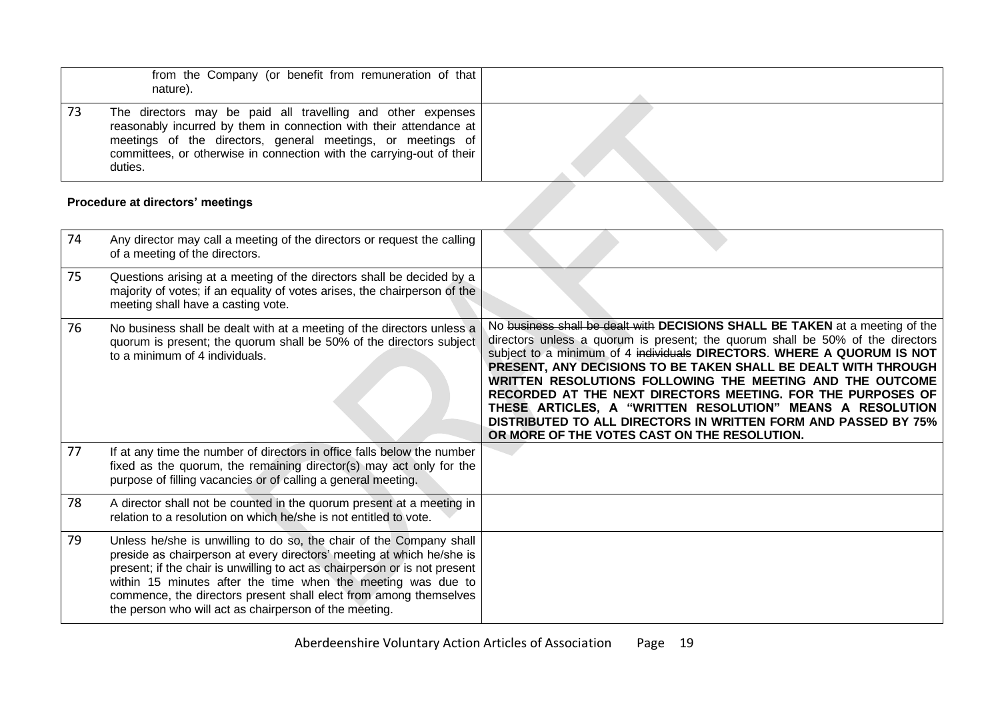| from the Company (or benefit from remuneration of that<br>nature).                                                                                                                                                                                                                   |  |
|--------------------------------------------------------------------------------------------------------------------------------------------------------------------------------------------------------------------------------------------------------------------------------------|--|
| The directors may be paid all travelling and other expenses<br>reasonably incurred by them in connection with their attendance at<br>meetings of the directors, general meetings, or meetings of<br>committees, or otherwise in connection with the carrying-out of their<br>duties. |  |

## **Procedure at directors' meetings**

<span id="page-18-0"></span>

| 74 | Any director may call a meeting of the directors or request the calling<br>of a meeting of the directors.                                                                                                                                                                                                                                                                                                                 |                                                                                                                                                                                                                                                                                                                                                                                                                                                                                                                                                                                                                       |
|----|---------------------------------------------------------------------------------------------------------------------------------------------------------------------------------------------------------------------------------------------------------------------------------------------------------------------------------------------------------------------------------------------------------------------------|-----------------------------------------------------------------------------------------------------------------------------------------------------------------------------------------------------------------------------------------------------------------------------------------------------------------------------------------------------------------------------------------------------------------------------------------------------------------------------------------------------------------------------------------------------------------------------------------------------------------------|
| 75 | Questions arising at a meeting of the directors shall be decided by a<br>majority of votes; if an equality of votes arises, the chairperson of the<br>meeting shall have a casting vote.                                                                                                                                                                                                                                  |                                                                                                                                                                                                                                                                                                                                                                                                                                                                                                                                                                                                                       |
| 76 | No business shall be dealt with at a meeting of the directors unless a<br>quorum is present; the quorum shall be 50% of the directors subject<br>to a minimum of 4 individuals.                                                                                                                                                                                                                                           | No business shall be dealt with DECISIONS SHALL BE TAKEN at a meeting of the<br>directors unless a quorum is present; the quorum shall be 50% of the directors<br>subject to a minimum of 4 individuals DIRECTORS. WHERE A QUORUM IS NOT<br>PRESENT, ANY DECISIONS TO BE TAKEN SHALL BE DEALT WITH THROUGH<br>WRITTEN RESOLUTIONS FOLLOWING THE MEETING AND THE OUTCOME<br>RECORDED AT THE NEXT DIRECTORS MEETING. FOR THE PURPOSES OF<br>THESE ARTICLES, A "WRITTEN RESOLUTION" MEANS A RESOLUTION<br>DISTRIBUTED TO ALL DIRECTORS IN WRITTEN FORM AND PASSED BY 75%<br>OR MORE OF THE VOTES CAST ON THE RESOLUTION. |
| 77 | If at any time the number of directors in office falls below the number<br>fixed as the quorum, the remaining director(s) may act only for the<br>purpose of filling vacancies or of calling a general meeting.                                                                                                                                                                                                           |                                                                                                                                                                                                                                                                                                                                                                                                                                                                                                                                                                                                                       |
| 78 | A director shall not be counted in the quorum present at a meeting in<br>relation to a resolution on which he/she is not entitled to vote.                                                                                                                                                                                                                                                                                |                                                                                                                                                                                                                                                                                                                                                                                                                                                                                                                                                                                                                       |
| 79 | Unless he/she is unwilling to do so, the chair of the Company shall<br>preside as chairperson at every directors' meeting at which he/she is<br>present; if the chair is unwilling to act as chairperson or is not present<br>within 15 minutes after the time when the meeting was due to<br>commence, the directors present shall elect from among themselves<br>the person who will act as chairperson of the meeting. |                                                                                                                                                                                                                                                                                                                                                                                                                                                                                                                                                                                                                       |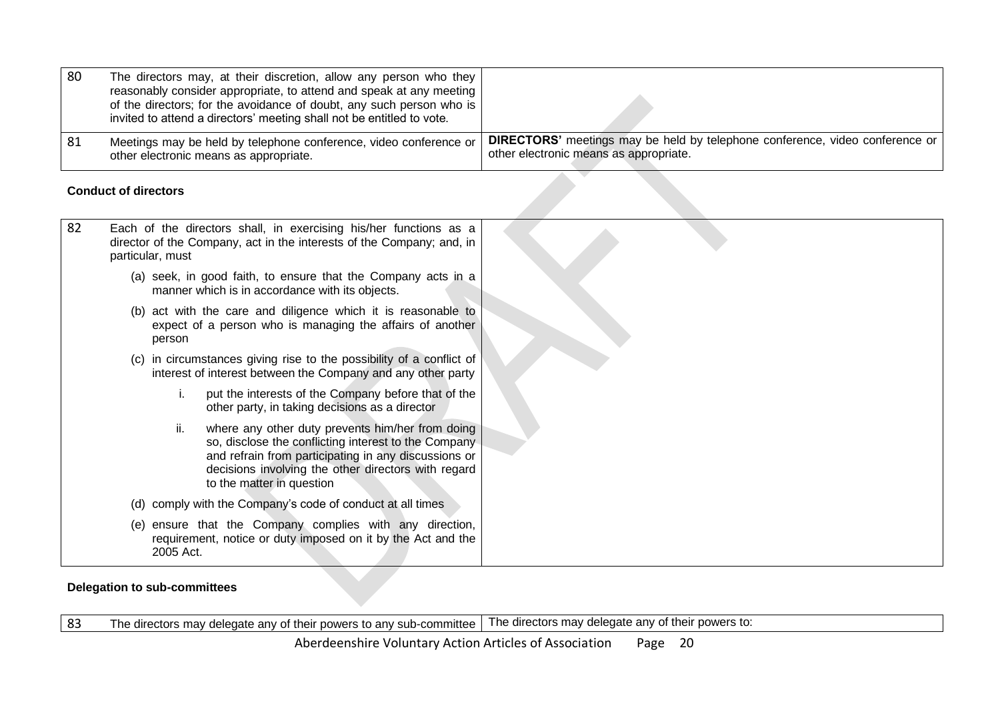| 80 | The directors may, at their discretion, allow any person who they<br>reasonably consider appropriate, to attend and speak at any meeting<br>of the directors; for the avoidance of doubt, any such person who is  <br>invited to attend a directors' meeting shall not be entitled to vote. |                                                                                                                               |
|----|---------------------------------------------------------------------------------------------------------------------------------------------------------------------------------------------------------------------------------------------------------------------------------------------|-------------------------------------------------------------------------------------------------------------------------------|
| 81 | Meetings may be held by telephone conference, video conference or<br>other electronic means as appropriate.                                                                                                                                                                                 | <b>DIRECTORS'</b> meetings may be held by telephone conference, video conference or<br>other electronic means as appropriate. |

### **Conduct of directors**

| 82 | Each of the directors shall, in exercising his/her functions as a<br>director of the Company, act in the interests of the Company; and, in<br>particular, must                                                                                              |  |
|----|-------------------------------------------------------------------------------------------------------------------------------------------------------------------------------------------------------------------------------------------------------------|--|
|    | (a) seek, in good faith, to ensure that the Company acts in a<br>manner which is in accordance with its objects.                                                                                                                                            |  |
|    | (b) act with the care and diligence which it is reasonable to<br>expect of a person who is managing the affairs of another<br>person                                                                                                                        |  |
|    | in circumstances giving rise to the possibility of a conflict of<br>(C)<br>interest of interest between the Company and any other party                                                                                                                     |  |
|    | put the interests of the Company before that of the<br>other party, in taking decisions as a director                                                                                                                                                       |  |
|    | where any other duty prevents him/her from doing<br>II.<br>so, disclose the conflicting interest to the Company<br>and refrain from participating in any discussions or<br>decisions involving the other directors with regard<br>to the matter in question |  |
|    | comply with the Company's code of conduct at all times<br>(d)                                                                                                                                                                                               |  |
|    | (e) ensure that the Company complies with any direction,<br>requirement, notice or duty imposed on it by the Act and the<br>2005 Act.                                                                                                                       |  |

### <span id="page-19-0"></span>**Delegation to sub-committees**

<span id="page-19-1"></span>83 The directors may delegate any of their powers to any sub-committee The directors may delegate any of their powers to: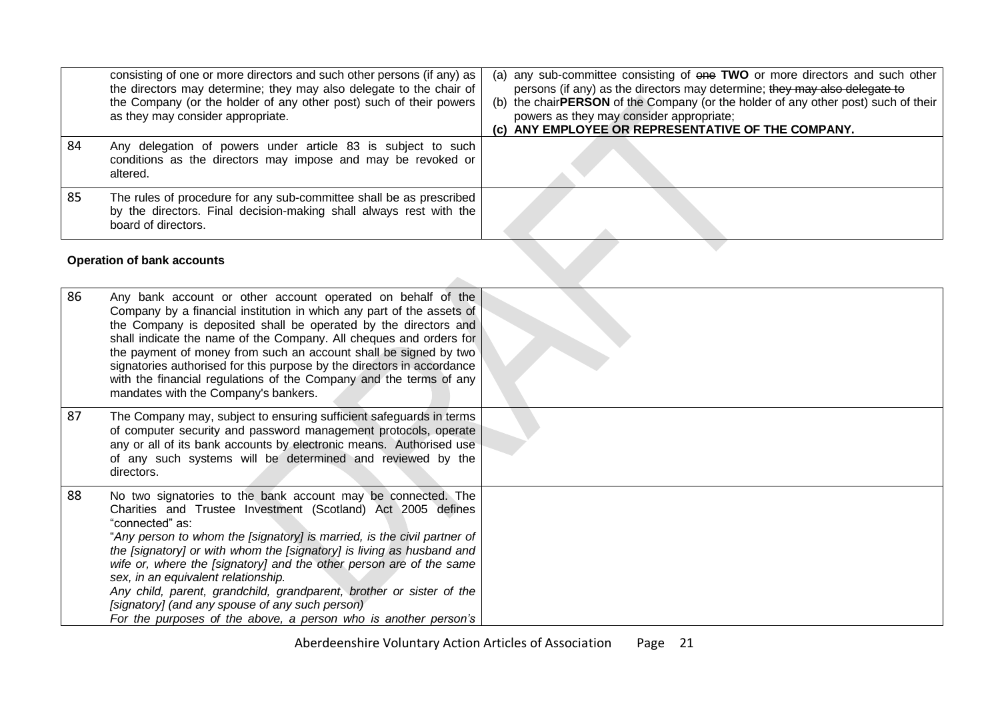|    | <b>Operation of bank accounts</b>                                                                                                                                                                                                                        |                                                                                                                                                                                                                                                                                                                                                    |
|----|----------------------------------------------------------------------------------------------------------------------------------------------------------------------------------------------------------------------------------------------------------|----------------------------------------------------------------------------------------------------------------------------------------------------------------------------------------------------------------------------------------------------------------------------------------------------------------------------------------------------|
| 85 | The rules of procedure for any sub-committee shall be as prescribed<br>by the directors. Final decision-making shall always rest with the<br>board of directors.                                                                                         |                                                                                                                                                                                                                                                                                                                                                    |
| 84 | Any delegation of powers under article 83 is subject to such<br>conditions as the directors may impose and may be revoked or<br>altered.                                                                                                                 |                                                                                                                                                                                                                                                                                                                                                    |
|    | consisting of one or more directors and such other persons (if any) as<br>the directors may determine; they may also delegate to the chair of<br>the Company (or the holder of any other post) such of their powers<br>as they may consider appropriate. | (a) any sub-committee consisting of one TWO or more directors and such other<br>persons (if any) as the directors may determine; they may also delegate to<br>(b) the chairPERSON of the Company (or the holder of any other post) such of their<br>powers as they may consider appropriate;<br>(c) ANY EMPLOYEE OR REPRESENTATIVE OF THE COMPANY. |

### **Operation of bank accounts**

<span id="page-20-0"></span>

| 86 | Any bank account or other account operated on behalf of the<br>Company by a financial institution in which any part of the assets of<br>the Company is deposited shall be operated by the directors and<br>shall indicate the name of the Company. All cheques and orders for<br>the payment of money from such an account shall be signed by two<br>signatories authorised for this purpose by the directors in accordance<br>with the financial regulations of the Company and the terms of any<br>mandates with the Company's bankers.                                                                       |  |
|----|-----------------------------------------------------------------------------------------------------------------------------------------------------------------------------------------------------------------------------------------------------------------------------------------------------------------------------------------------------------------------------------------------------------------------------------------------------------------------------------------------------------------------------------------------------------------------------------------------------------------|--|
| 87 | The Company may, subject to ensuring sufficient safeguards in terms<br>of computer security and password management protocols, operate<br>any or all of its bank accounts by electronic means. Authorised use<br>of any such systems will be determined and reviewed by the<br>directors.                                                                                                                                                                                                                                                                                                                       |  |
| 88 | No two signatories to the bank account may be connected. The<br>Charities and Trustee Investment (Scotland) Act 2005 defines<br>"connected" as:<br>"Any person to whom the [signatory] is married, is the civil partner of<br>the [signatory] or with whom the [signatory] is living as husband and<br>wife or, where the [signatory] and the other person are of the same<br>sex, in an equivalent relationship.<br>Any child, parent, grandchild, grandparent, brother or sister of the<br>[signatory] (and any spouse of any such person)<br>For the purposes of the above, a person who is another person's |  |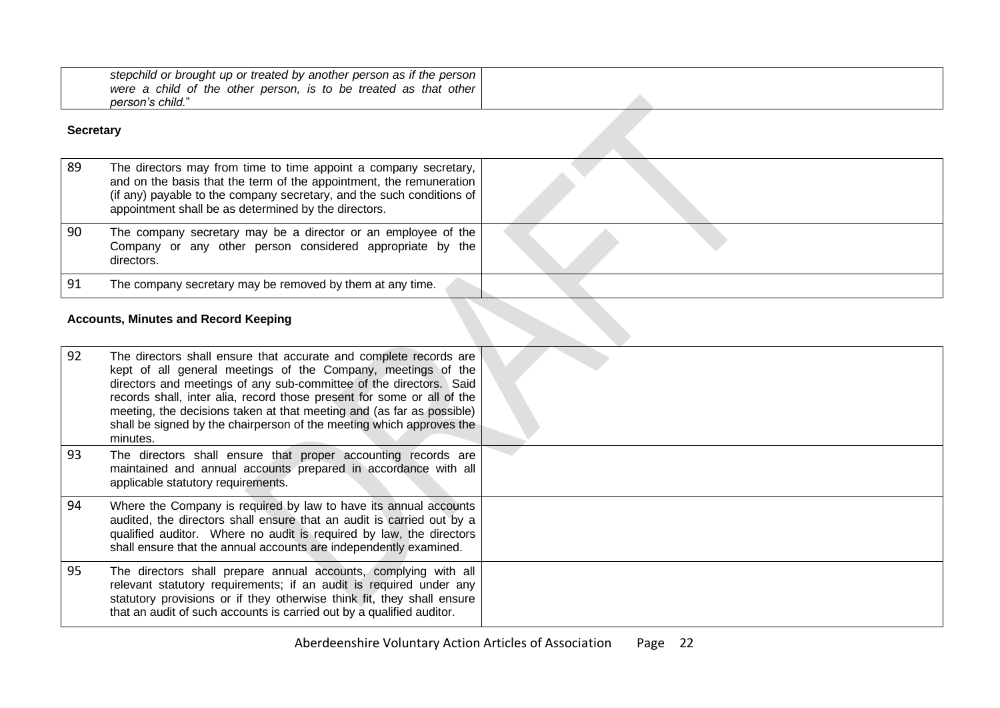| stepchild or brought up or treated by another person as if the person  <br>were a child of the other person, is to be treated as that other<br>person's child." |  |
|-----------------------------------------------------------------------------------------------------------------------------------------------------------------|--|
| iecretarv                                                                                                                                                       |  |

### **Secretary**

| 89 | The directors may from time to time appoint a company secretary,<br>and on the basis that the term of the appointment, the remuneration<br>(if any) payable to the company secretary, and the such conditions of<br>appointment shall be as determined by the directors. |  |
|----|--------------------------------------------------------------------------------------------------------------------------------------------------------------------------------------------------------------------------------------------------------------------------|--|
| 90 | The company secretary may be a director or an employee of the<br>Company or any other person considered appropriate by the<br>directors.                                                                                                                                 |  |
| 91 | The company secretary may be removed by them at any time.                                                                                                                                                                                                                |  |
|    | <b>Accounts, Minutes and Record Keeping</b>                                                                                                                                                                                                                              |  |

#### **Accounts, Minutes and Record Keeping**

<span id="page-21-1"></span><span id="page-21-0"></span>

| 92 | The directors shall ensure that accurate and complete records are<br>kept of all general meetings of the Company, meetings of the<br>directors and meetings of any sub-committee of the directors. Said<br>records shall, inter alia, record those present for some or all of the<br>meeting, the decisions taken at that meeting and (as far as possible)<br>shall be signed by the chairperson of the meeting which approves the<br>minutes. |  |
|----|------------------------------------------------------------------------------------------------------------------------------------------------------------------------------------------------------------------------------------------------------------------------------------------------------------------------------------------------------------------------------------------------------------------------------------------------|--|
| 93 | The directors shall ensure that proper accounting records are<br>maintained and annual accounts prepared in accordance with all<br>applicable statutory requirements.                                                                                                                                                                                                                                                                          |  |
| 94 | Where the Company is required by law to have its annual accounts<br>audited, the directors shall ensure that an audit is carried out by a<br>qualified auditor. Where no audit is required by law, the directors<br>shall ensure that the annual accounts are independently examined.                                                                                                                                                          |  |
| 95 | The directors shall prepare annual accounts, complying with all<br>relevant statutory requirements; if an audit is required under any<br>statutory provisions or if they otherwise think fit, they shall ensure<br>that an audit of such accounts is carried out by a qualified auditor.                                                                                                                                                       |  |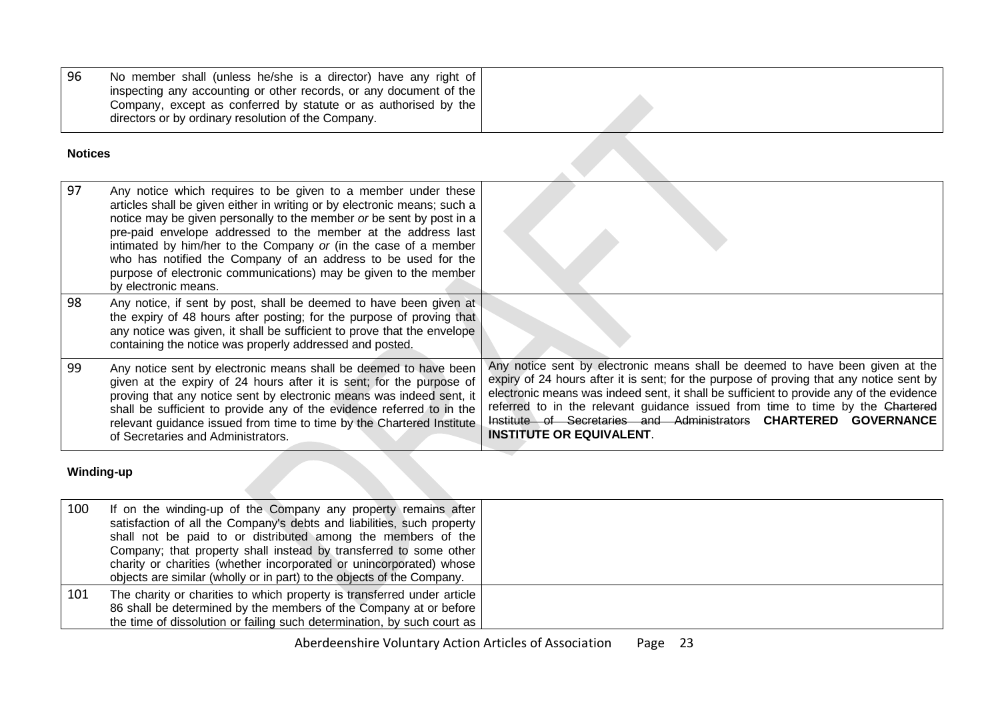| - 96 | No member shall (unless he/she is a director) have any right of    |  |
|------|--------------------------------------------------------------------|--|
|      | inspecting any accounting or other records, or any document of the |  |
|      | Company, except as conferred by statute or as authorised by the    |  |
|      | directors or by ordinary resolution of the Company.                |  |
|      |                                                                    |  |

#### **Notices**

| 97 | Any notice which requires to be given to a member under these<br>articles shall be given either in writing or by electronic means; such a<br>notice may be given personally to the member or be sent by post in a<br>pre-paid envelope addressed to the member at the address last<br>intimated by him/her to the Company or (in the case of a member<br>who has notified the Company of an address to be used for the<br>purpose of electronic communications) may be given to the member<br>by electronic means. |                                                                                                                                                                                                                                                                                                                                                                                                                                                              |
|----|--------------------------------------------------------------------------------------------------------------------------------------------------------------------------------------------------------------------------------------------------------------------------------------------------------------------------------------------------------------------------------------------------------------------------------------------------------------------------------------------------------------------|--------------------------------------------------------------------------------------------------------------------------------------------------------------------------------------------------------------------------------------------------------------------------------------------------------------------------------------------------------------------------------------------------------------------------------------------------------------|
| 98 | Any notice, if sent by post, shall be deemed to have been given at<br>the expiry of 48 hours after posting; for the purpose of proving that<br>any notice was given, it shall be sufficient to prove that the envelope<br>containing the notice was properly addressed and posted.                                                                                                                                                                                                                                 |                                                                                                                                                                                                                                                                                                                                                                                                                                                              |
| 99 | Any notice sent by electronic means shall be deemed to have been<br>given at the expiry of 24 hours after it is sent; for the purpose of<br>proving that any notice sent by electronic means was indeed sent, it<br>shall be sufficient to provide any of the evidence referred to in the<br>relevant guidance issued from time to time by the Chartered Institute<br>of Secretaries and Administrators.                                                                                                           | Any notice sent by electronic means shall be deemed to have been given at the<br>expiry of 24 hours after it is sent; for the purpose of proving that any notice sent by<br>electronic means was indeed sent, it shall be sufficient to provide any of the evidence<br>referred to in the relevant guidance issued from time to time by the Chartered<br>Institute of Secretaries and Administrators CHARTERED GOVERNANCE<br><b>INSTITUTE OR EQUIVALENT.</b> |

# <span id="page-22-0"></span>**Winding-up**

<span id="page-22-1"></span>

| 100 | If on the winding-up of the Company any property remains after<br>satisfaction of all the Company's debts and liabilities, such property<br>shall not be paid to or distributed among the members of the<br>Company; that property shall instead by transferred to some other<br>charity or charities (whether incorporated or unincorporated) whose<br>objects are similar (wholly or in part) to the objects of the Company. |  |
|-----|--------------------------------------------------------------------------------------------------------------------------------------------------------------------------------------------------------------------------------------------------------------------------------------------------------------------------------------------------------------------------------------------------------------------------------|--|
| 101 | The charity or charities to which property is transferred under article<br>86 shall be determined by the members of the Company at or before<br>the time of dissolution or failing such determination, by such court as                                                                                                                                                                                                        |  |

- 7